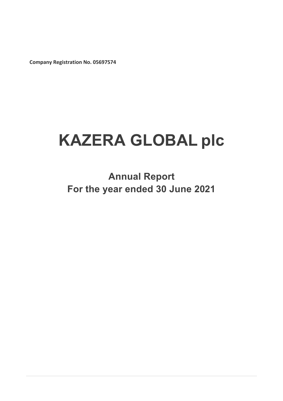**Company Registration No. 05697574**

# **KAZERA GLOBAL plc**

**Annual Report For the year ended 30 June 2021**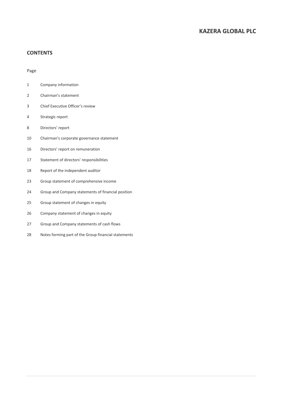### **CONTENTS**

### Page

- Company information
- Chairman's statement
- Chief Executive Officer's review
- Strategic report
- Directors' report
- Chairman's corporate governance statement
- Directors' report on remuneration
- Statement of directors' responsibilities
- Report of the independent auditor
- Group statement of comprehensive income
- Group and Company statements of financial position
- Group statement of changes in equity
- Company statement of changes in equity
- Group and Company statements of cash flows
- Notes forming part of the Group financial statements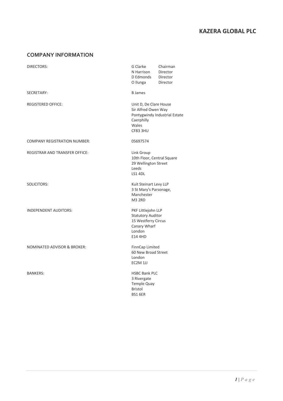### **COMPANY INFORMATION**

| DIRECTORS:                            | G Clarke<br>N Harrison<br>D Edmonds<br>O Ilunga                                                                   | Chairman<br>Director<br>Director<br>Director |
|---------------------------------------|-------------------------------------------------------------------------------------------------------------------|----------------------------------------------|
| <b>SECRETARY:</b>                     | <b>B</b> James                                                                                                    |                                              |
| REGISTERED OFFICE:                    | Unit D, De Clare House<br>Sir Alfred Owen Way<br>Caerphilly<br>Wales<br><b>CF83 3HU</b>                           | Pontygwindy Industrial Estate                |
| <b>COMPANY REGISTRATION NUMBER:</b>   | 05697574                                                                                                          |                                              |
| <b>REGISTRAR AND TRANSFER OFFICE:</b> | Link Group<br>10th Floor, Central Square<br>29 Wellington Street<br>Leeds<br>LS1 4DL                              |                                              |
| <b>SOLICITORS:</b>                    | Kuit Steinart Levy LLP<br>3 St Mary's Parsonage,<br>Manchester<br><b>M3 2RD</b>                                   |                                              |
| <b>INDEPENDENT AUDITORS:</b>          | PKF Littlejohn LLP<br><b>Statutory Auditor</b><br>15 Westferry Circus<br>Canary Wharf<br>London<br><b>E14 4HD</b> |                                              |
| NOMINATED ADVISOR & BROKER:           | FinnCap Limited<br>60 New Broad Street<br>London<br>EC2M 1JJ                                                      |                                              |
| <b>BANKERS:</b>                       | <b>HSBC Bank PLC</b><br>3 Rivergate<br>Temple Quay<br><b>Bristol</b><br>BS1 6ER                                   |                                              |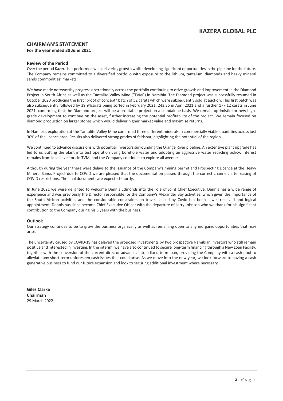### **CHAIRMAN'S STATEMENT For the year ended 30 June 2021**

### **Review of the Period**

Over the period Kazera has performed well delivering growth whilst developing significant opportunities in the pipeline for the future. The Company remains committed to a diversified portfolio with exposure to the lithium, tantalum, diamonds and heavy mineral sands commodities' markets.

We have made noteworthy progress operationally across the portfolio continuing to drive growth and improvement in the Diamond Project in South Africa as well as the Tantalite Valley Mine ("TVM") in Namibia. The Diamond project was successfully resumed in October 2020 producing the first "proof of concept" batch of 52 carats which were subsequently sold at auction. This first batch was also subsequently followed by 39.94carats being sorted in February 2021, 243.36 in April 2021 and a further 177.12 carats in June 2021, confirming that the Diamond project will be a profitable project on a standalone basis. We remain optimistic for new highgrade development to continue on the asset, further increasing the potential profitability of the project. We remain focused on diamond production on larger stones which would deliver higher market value and maximise returns.

In Namibia, exploration at the Tantalite Valley Mine confirmed three different minerals in commercially viable quantities across just 30% of the licence area. Results also delivered strong grades of feldspar, highlighting the potential of the region.

We continued to advance discussions with potential investors surrounding the Orange River pipeline. An extensive plant upgrade has led to us putting the plant into test operation using borehole water and adopting an aggressive water recycling policy. Interest remains from local investors in TVM, and the Company continues to explore all avenues.

Although during the year there were delays to the issuance of the Company's mining permit and Prospecting Licence at the Heavy Mineral Sands Project due to COVID we are pleased that the documentation passed through the correct channels after easing of COVID restrictions. The final documents are expected shortly.

In June 2021 we were delighted to welcome Dennis Edmonds into the role of Joint Chief Executive. Dennis has a wide range of experience and was previously the Director responsible for the Company's Alexander Bay activities, which given the importance of the South African activities and the considerable constraints on travel caused by Covid has been a well-received and logical appointment. Dennis has since become Chief Executive Officer with the departure of Larry Johnson who we thank for his significant contribution to the Company during his 5 years with the business.

### **Outlook**

Our strategy continues to be to grow the business organically as well as remaining open to any inorganic opportunities that may arise.

The uncertainty caused by COVID-19 has delayed the proposed investments by two prospective Namibian investors who still remain positive and interested in investing. In the interim, we have also continued to secure long-term financing through a New Loan Facility, together with the conversion of the current director advances into a fixed term loan, providing the Company with a cash pool to alleviate any short-term unforeseen cash issues that could arise. As we move into the new year, we look forward to having a cash generative business to fund our future expansion and look to securing additional investment where necessary.

**Giles Clarke Chairman**  29 March 2022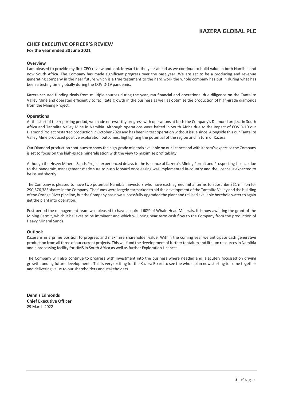### **CHIEF EXECUTIVE OFFICER'S REVIEW**

### **For the year ended 30 June 2021**

### **Overview**

I am pleased to provide my first CEO review and look forward to the year ahead as we continue to build value in both Namibia and now South Africa. The Company has made significant progress over the past year. We are set to be a producing and revenue generating company in the near future which is a true testament to the hard work the whole company has put in during what has been a testing time globally during the COVID-19 pandemic.

Kazera secured funding deals from multiple sources during the year, ran financial and operational due diligence on the Tantalite Valley Mine and operated efficiently to facilitate growth in the business as well as optimise the production of high-grade diamonds from the Mining Project.

### **Operations**

At the start of the reporting period, we made noteworthy progress with operations at both the Company's Diamond project in South Africa and Tantalite Valley Mine in Namibia. Although operations were halted in South Africa due to the impact of COVID-19 our Diamond Project restarted production in October 2020 and has been in test operation without issue since. Alongside this our Tantalite Valley Mine produced positive exploration outcomes, highlighting the potential of the region and in turn of Kazera.

Our Diamond production continues to show the high-grade minerals available on our licence and with Kazera's expertise the Company is set to focus on the high-grade mineralisation with the view to maximise profitability.

Although the Heavy Mineral Sands Project experienced delays to the issuance of Kazera's Mining Permit and Prospecting Licence due to the pandemic, management made sure to push forward once easing was implemented in-country and the licence is expected to be issued shortly.

The Company is pleased to have two potential Namibian investors who have each agreed initial terms to subscribe \$11 million for 290,576,383 shares in the Company. The funds were largely earmarked to aid the development of the Tantalite Valley and the building of the Orange River pipeline, but the Company has now successfully upgraded the plant and utilised available borehole water to again get the plant into operation.

Post period the management team was pleased to have acquired 60% of Whale Head Minerals. It is now awaiting the grant of the Mining Permit, which it believes to be imminent and which will bring near term cash flow to the Company from the production of Heavy Mineral Sands.

### **Outlook**

Kazera is in a prime position to progress and maximise shareholder value. Within the coming year we anticipate cash generative production from all three of our current projects. This will fund the development of further tantalum and lithium resources in Namibia and a processing facility for HMS in South Africa as well as further Exploration Licences.

The Company will also continue to progress with investment into the business where needed and is acutely focussed on driving growth funding future developments. This is very exciting for the Kazera Board to see the whole plan now starting to come together and delivering value to our shareholders and stakeholders.

**Dennis Edmonds Chief Executive Officer**  29 March 2022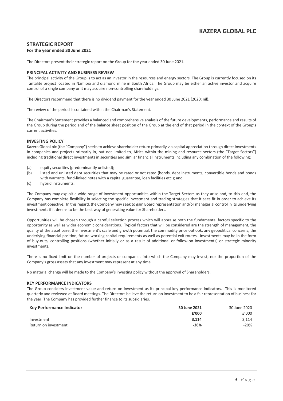### **STRATEGIC REPORT**

### **For the year ended 30 June 2021**

The Directors present their strategic report on the Group for the year ended 30 June 2021.

### **PRINCIPAL ACTIVITY AND BUSINESS REVIEW**

The principal activity of the Group is to act as an investor in the resources and energy sectors. The Group is currently focused on its Tantalite project located in Namibia and diamond mine in South Africa. The Group may be either an active investor and acquire control of a single company or it may acquire non-controlling shareholdings.

The Directors recommend that there is no dividend payment for the year ended 30 June 2021 (2020: nil).

The review of the period is contained within the Chairman's Statement.

The Chairman's Statement provides a balanced and comprehensive analysis of the future developments, performance and results of the Group during the period and of the balance sheet position of the Group at the end of that period in the context of the Group's current activities.

### **INVESTING POLICY**

Kazera Global plc (the "Company") seeks to achieve shareholder return primarily via capital appreciation through direct investments in companies and projects primarily in, but not limited to, Africa within the mining and resource sectors (the "Target Sectors") including traditional direct investments in securities and similar financial instruments including any combination of the following:

- (a) equity securities (predominantly unlisted);
- (b) listed and unlisted debt securities that may be rated or not rated (bonds, debt instruments, convertible bonds and bonds with warrants, fund-linked notes with a capital guarantee, loan facilities etc.); and
- (c) hybrid instruments.

The Company may exploit a wide range of investment opportunities within the Target Sectors as they arise and, to this end, the Company has complete flexibility in selecting the specific investment and trading strategies that it sees fit in order to achieve its investment objective. In this regard, the Company may seek to gain Board representation and/or managerial control in its underlying investments if it deems to be the best way of generating value for Shareholders.

Opportunities will be chosen through a careful selection process which will appraise both the fundamental factors specific to the opportunity as well as wider economic considerations. Typical factors that will be considered are the strength of management, the quality of the asset base, the investment's scale and growth potential, the commodity price outlook, any geopolitical concerns, the underlying financial position, future working capital requirements as well as potential exit routes. Investments may be in the form of buy-outs, controlling positions (whether initially or as a result of additional or follow-on investments) or strategic minority investments.

There is no fixed limit on the number of projects or companies into which the Company may invest, nor the proportion of the Company's gross assets that any investment may represent at any time.

No material change will be made to the Company's investing policy without the approval of Shareholders.

#### **KEY PERFORMANCE INDICATORS**

The Group considers investment value and return on investment as its principal key performance indicators. This is monitored quarterly and reviewed at Board meetings. The Directors believe the return on investment to be a fair representation of business for the year. The Company has provided further finance to its subsidiaries.

| <b>Key Performance Indicator</b> | 30 June 2021 | 30 June 2020 |
|----------------------------------|--------------|--------------|
|                                  | f'000        | f'000        |
| Investment                       | 3.114        | 3.114        |
| Return on investment             | $-36%$       | $-20%$       |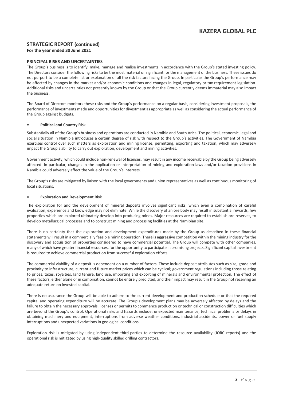### **STRATEGIC REPORT (continued)**

### **For the year ended 30 June 2021**

### **PRINCIPAL RISKS AND UNCERTAINTIES**

The Group's business is to identify, make, manage and realise investments in accordance with the Group's stated investing policy. The Directors consider the following risks to be the most material or significant for the management of the business. These issues do not purport to be a complete list or explanation of all the risk factors facing the Group. In particular the Group's performance may be affected by changes in the market and/or economic conditions and changes in legal, regulatory or tax requirement legislation. Additional risks and uncertainties not presently known by the Group or that the Group currently deems immaterial may also impact the business.

The Board of Directors monitors these risks and the Group's performance on a regular basis, considering investment proposals, the performance of investments made and opportunities for divestment as appropriate as well as considering the actual performance of the Group against budgets.

#### **• Political and Country Risk**

Substantially all of the Group's business and operations are conducted in Namibia and South Arica. The political, economic, legal and social situation in Namibia introduces a certain degree of risk with respect to the Group's activities. The Government of Namibia exercises control over such matters as exploration and mining license, permitting, exporting and taxation, which may adversely impact the Group's ability to carry out exploration, development and mining activities.

Government activity, which could include non-renewal of licenses, may result in any income receivable by the Group being adversely affected. In particular, changes in the application or interpretation of mining and exploration laws and/or taxation provisions in Namibia could adversely affect the value of the Group's interests.

The Group's risks are mitigated by liaison with the local governments and union representatives as well as continuous monitoring of local situations.

#### **• Exploration and Development Risk**

The exploration for and the development of mineral deposits involves significant risks, which even a combination of careful evaluation, experience and knowledge may not eliminate. While the discovery of an ore body may result in substantial rewards, few properties which are explored ultimately develop into producing mines. Major resources are required to establish ore reserves, to develop metallurgical processes and to construct mining and processing facilities at the Namibian site.

There is no certainty that the exploration and development expenditures made by the Group as described in these financial statements will result in a commercially feasible mining operation. There is aggressive competition within the mining industry for the discovery and acquisition of properties considered to have commercial potential. The Group will compete with other companies, many of which have greater financial resources, for the opportunity to participate in promising projects. Significant capital investment is required to achieve commercial production from successful exploration efforts.

The commercial viability of a deposit is dependent on a number of factors. These include deposit attributes such as size, grade and proximity to infrastructure; current and future market prices which can be cyclical; government regulations including those relating to prices, taxes, royalties, land tenure, land use, importing and exporting of minerals and environmental protection. The effect of these factors, either alone or in combination, cannot be entirely predicted, and their impact may result in the Group not receiving an adequate return on invested capital.

There is no assurance the Group will be able to adhere to the current development and production schedule or that the required capital and operating expenditure will be accurate. The Group's development plans may be adversely affected by delays and the failure to obtain the necessary approvals, licenses or permits to commence production or technical or construction difficulties which are beyond the Group's control. Operational risks and hazards include: unexpected maintenance, technical problems or delays in obtaining machinery and equipment, interruptions from adverse weather conditions, industrial accidents, power or fuel supply interruptions and unexpected variations in geological conditions.

Exploration risk is mitigated by using independent third-parties to determine the resource availability (JORC reports) and the operational risk is mitigated by using high-quality skilled drilling contractors.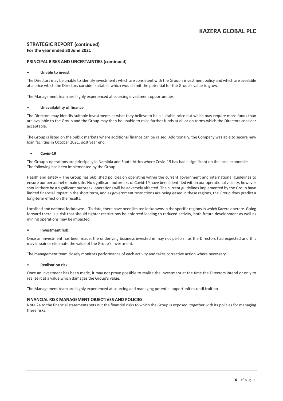### **STRATEGIC REPORT (continued) For the year ended 30 June 2021**

### **PRINCIPAL RISKS AND UNCERTAINTIES (continued)**

### **• Unable to invest**

The Directors may be unable to identify investments which are consistent with the Group's investment policy and which are available at a price which the Directors consider suitable, which would limit the potential for the Group's value to grow.

The Management team are highly experienced at sourcing investment opportunities

### • **Unavailability of finance**

The Directors may identify suitable investments at what they believe to be a suitable price but which may require more funds than are available to the Group and the Group may then be unable to raise further funds at all or on terms which the Directors consider acceptable.

The Group is listed on the public markets where additional finance can be raised. Additionally, the Company was able to secure new loan facilities in October 2021, post year end.

### • **Covid-19**

The Group's operations are principally in Namibia and South Africa where Covid-19 has had a significant on the local economies. The following has been implemented by the Group:

Health and safety – The Group has published policies on operating within the current government and international guidelines to ensure our personnel remain safe. No significant outbreaks of Covid-19 have been identified within our operational vicinity, however should there be a significant outbreak, operations will be adversely affected. The current guidelines implemented by the Group have limited financial impact in the short term, and as government restrictions are being eased in these regions, the Group does predict a long-term effect on the results.

Localised and national lockdowns – To date, there have been limited lockdowns in the specific regions in which Kazera operate. Going forward there is a risk that should tighter restrictions be enforced leading to reduced activity, both future development as well as mining operations may be impacted.

#### **• Investment risk**

Once an investment has been made, the underlying business invested in may not perform as the Directors had expected and this may impair or eliminate the value of the Group's investment.

The management team closely monitors performance of each activity and takes corrective action where necessary

#### • **Realisation risk**

Once an investment has been made, it may not prove possible to realise the investment at the time the Directors intend or only to realise it at a value which damages the Group's value.

The Management team are highly experienced at sourcing and managing potential opportunities until fruition

### **FINANCIAL RISK MANAGEMENT OBJECTIVES AND POLICIES**

Note 24 to the financial statements sets out the financial risks to which the Group is exposed, together with its policies for managing these risks.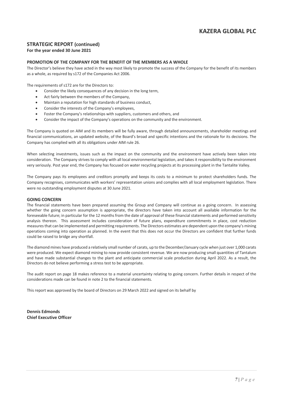### **STRATEGIC REPORT (continued)**

### **For the year ended 30 June 2021**

### **PROMOTION OF THE COMPANY FOR THE BENEFIT OF THE MEMBERS AS A WHOLE**

The Director's believe they have acted in the way most likely to promote the success of the Company for the benefit of its members as a whole, as required by s172 of the Companies Act 2006.

The requirements of s172 are for the Directors to:

- Consider the likely consequences of any decision in the long term,
- Act fairly between the members of the Company,
- Maintain a reputation for high standards of business conduct,
- Consider the interests of the Company's employees,
- Foster the Company's relationships with suppliers, customers and others, and
- Consider the impact of the Company's operations on the community and the environment.

The Company is quoted on AIM and its members will be fully aware, through detailed announcements, shareholder meetings and financial communications, an updated website, of the Board's broad and specific intentions and the rationale for its decisions. The Company has complied with all its obligations under AIM rule 26.

When selecting investments, issues such as the impact on the community and the environment have actively been taken into consideration. The Company strives to comply with all local environmental legislation, and takes it responsibility to the environment very seriously. Post year end, the Company has focused on water recycling projects at its processing plant in the Tantalite Valley.

The Company pays its employees and creditors promptly and keeps its costs to a minimum to protect shareholders funds. The Company recognises, communicates with workers' representation unions and complies with all local employment legislation. There were no outstanding employment disputes at 30 June 2021.

#### **GOING CONCERN**

The financial statements have been prepared assuming the Group and Company will continue as a going concern. In assessing whether the going concern assumption is appropriate, the directors have taken into account all available information for the foreseeable future; in particular for the 12 months from the date of approval of these financial statements and performed sensitivity analysis thereon. This assessment includes consideration of future plans, expenditure commitments in place, cost reduction measures that can be implemented and permitting requirements. The Directors estimates are dependent upon the company's mining operations coming into operation as planned. In the event that this does not occur the Directors are confident that further funds could be raised to bridge any shortfall.

The diamond mines have produced a relatively small number of carats, up to the December/January cycle when just over 1,000 carats were produced. We expect diamond mining to now provide consistent revenue. We are now producing small quantities of Tantalum and have made substantial changes to the plant and anticipate commercial scale production during April 2022. As a result, the Directors do not believe performing a stress test to be appropriate.

The audit report on page 18 makes reference to a material uncertainty relating to going concern. Further details in respect of the considerations made can be found in note 2 to the financial statements.

This report was approved by the board of Directors on 29 March 2022 and signed on its behalf by

**Dennis Edmonds Chief Executive Officer**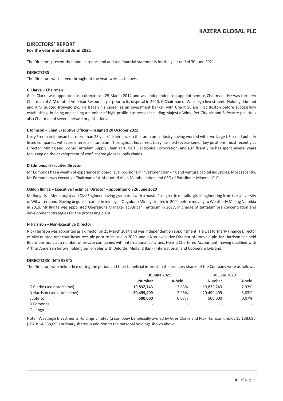### **DIRECTORS' REPORT**

### **For the year ended 30 June 2021**

The Directors present their annual report and audited financial statements for the year ended 30 June 2021.

### **DIRECTORS**

The Directors who served throughout the year, were as follows:

### **G Clarke – Chairman**

Giles Clarke was appointed as a director on 25 March 2014 and was independent on appointment as Chairman. He was formerly Chairman of AIM quoted Amerisur Resources plc prior to its disposal in 2020, is Chairman of Westleigh Investments Holdings Limited and AIM quoted Ironveld plc. He began his career as an investment banker with Credit Suisse First Boston before successfully establishing, building and selling a number of high-profile businesses including Majestic Wine, Pet City plc and Safestore plc. He is also Chairman of several private organisations.

### **L Johnson – Chief Executive Officer – resigned 20 October 2021**

Larry Freeman Johnson has more than 25 years' experience in the tantalum industry having worked with two large US based publicly listed companies with core interests in tantalum. Throughout his career, Larry has held several senior key positions, most recently as Director: Mining and Global Tantalum Supply Chain at KEMET Electronics Corporation, and significantly he has spent several years focussing on the development of conflict-free global supply chains.

#### **D Edmonds -Executive Director**

Mr Edmonds has a wealth of experience in board level positions in investment banking and venture capital industries. Most recently, Mr Edmonds was executive Chairman of AIM-quoted Alien Metals Limited and CEO of Pathfinder Minerals PLC.

#### **Odilon Ilunga – Executive Technical Director – appointed on 26 June 2020**

Mr Ilunga is a Metallurgist and Civil Engineer having graduated with a master's degree in metallurgical engineering from the University of Witwatersrand. Having begun his career in mining at Ongolopo Mining Limited in 2004 before moving to Weatherly Mining Namibia in 2010, Mr Ilunga was appointed Operations Manager at African Tantalum in 2017, in charge of tantalum ore concentration and development strategies for the processing plant.

#### **N Harrison – Non-Executive Director**

Nick Harrison was appointed as a director on 25 March 2014 and was independent on appointment. He wasformerly Finance Director of AIM quoted Amerisur Resources plc prior to its sale in 2020, and a Non-executive Director of Ironveld plc. Mr Harrison has held Board positions at a number of private companies with international activities. He is a Chartered Accountant, having qualified with Arthur Andersen before holding senior roles with Deloitte, Midland Bank (International) and Coopers & Lybrand.

### **DIRECTORS' INTERESTS**

The Directors who held office during the period and their beneficial interest in the ordinary shares of the Company were as follows:

|                             | 30 June 2021  |        | 30 June 2020             |        |
|-----------------------------|---------------|--------|--------------------------|--------|
|                             | <b>Number</b> | % held | Number                   | % held |
| G Clarke (see note below)   | 19,832,743    | 2.83%  | 19,832,743               | 2.93%  |
| N Harrison (see note below) | 20,499,409    | 2.93%  | 20,499,409               | 3.03%  |
| L Johnson                   | 500,000       | 0.07%  | 500.000                  | 0.07%  |
| D Edmonds                   |               | -      | -                        |        |
| O Ilunga                    | -             | -      | $\overline{\phantom{a}}$ | -      |

Note: Westleigh Investments Holdings Limited (a company beneficially owned by Giles Clarke and Nick Harrison), holds 15,138,095 (2020: 14,338,095) ordinary shares in addition to the personal holdings shown above.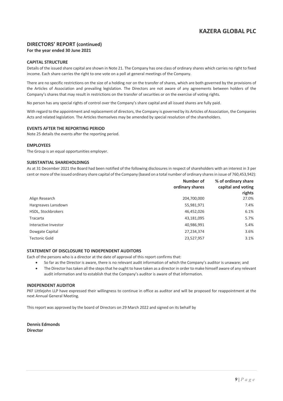### **DIRECTORS' REPORT (continued) For the year ended 30 June 2021**

### **CAPITAL STRUCTURE**

Details of the issued share capital are shown in Note 21. The Company has one class of ordinary shares which carries no right to fixed income. Each share carries the right to one vote on a poll at general meetings of the Company.

There are no specific restrictions on the size of a holding nor on the transfer of shares, which are both governed by the provisions of the Articles of Association and prevailing legislation. The Directors are not aware of any agreements between holders of the Company's shares that may result in restrictions on the transfer of securities or on the exercise of voting rights.

No person has any special rights of control over the Company's share capital and all issued shares are fully paid.

With regard to the appointment and replacement of directors, the Company is governed by its Articles of Association, the Companies Acts and related legislation. The Articles themselves may be amended by special resolution of the shareholders.

### **EVENTS AFTER THE REPORTING PERIOD**

Note 25 details the events after the reporting period.

### **EMPLOYEES**

The Group is an equal opportunities employer.

### **SUBSTANTIAL SHAREHOLDINGS**

As at 31 December 2021 the Board had been notified of the following disclosures in respect of shareholders with an interest in 3 per cent or more of the issued ordinary share capital of the Company (based on a total number of ordinary shares in issue of 760,453,942):

|                      | Number of<br>ordinary shares | % of ordinary share<br>capital and voting<br>rights |
|----------------------|------------------------------|-----------------------------------------------------|
| Align Research       | 204,700,000                  | 27.0%                                               |
| Hargreaves Lansdown  | 55,981,971                   | 7.4%                                                |
| HSDL, Stockbrokers   | 46,452,026                   | 6.1%                                                |
| Tracarta             | 43,181,095                   | 5.7%                                                |
| Interactive Investor | 40,986,991                   | 5.4%                                                |
| Dowgate Capital      | 27,234,374                   | 3.6%                                                |
| <b>Tectonic Gold</b> | 23,527,957                   | 3.1%                                                |

#### **STATEMENT OF DISCLOSURE TO INDEPENDENT AUDITORS**

Each of the persons who is a director at the date of approval of this report confirms that:

- So far as the Director is aware, there is no relevant audit information of which the Company's auditor is unaware; and
- The Director has taken all the steps that he ought to have taken as a director in order to make himself aware of any relevant audit information and to establish that the Company's auditor is aware of that information.

### **INDEPENDENT AUDITOR**

PKF Littlejohn LLP have expressed their willingness to continue in office as auditor and will be proposed for reappointment at the next Annual General Meeting.

This report was approved by the board of Directors on 29 March 2022 and signed on its behalf by

**Dennis Edmonds Director**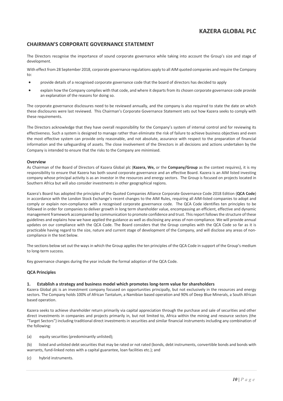### **CHAIRMAN'S CORPORATE GOVERNANCE STATEMENT**

The Directors recognise the importance of sound corporate governance while taking into account the Group's size and stage of development.

With effect from 28 September 2018, corporate governance regulations apply to all AIM quoted companies and require the Company to:

- provide details of a recognised corporate governance code that the board of directors has decided to apply
- explain how the Company complies with that code, and where it departs from its chosen corporate governance code provide an explanation of the reasons for doing so.

The corporate governance disclosures need to be reviewed annually, and the company is also required to state the date on which these disclosures were last reviewed. This Chairman's Corporate Governance Statement sets out how Kazera seeks to comply with these requirements.

The Directors acknowledge that they have overall responsibility for the Company's system of internal control and for reviewing its effectiveness. Such a system is designed to manage rather than eliminate the risk of failure to achieve business objectives and even the most effective system can provide only reasonable, and not absolute, assurance with respect to the preparation of financial information and the safeguarding of assets. The close involvement of the Directors in all decisions and actions undertaken by the Company is intended to ensure that the risks to the Company are minimised.

#### **Overview**

As Chairman of the Board of Directors of Kazera Global plc (**Kazera, We,** or the **Company/Group** as the context requires), it is my responsibility to ensure that Kazera has both sound corporate governance and an effective Board. Kazera is an AIM listed investing company whose principal activity is as an investor in the resources and energy sectors. The Group is focused on projects located in Southern Africa but will also consider investments in other geographical regions.

Kazera's Board has adopted the principles of the Quoted Companies Alliance Corporate Governance Code 2018 Edition (**QCA Code**) in accordance with the London Stock Exchange's recent changes to the AIM Rules, requiring all AIM-listed companies to adopt and comply or explain non-compliance with a recognised corporate governance code. The QCA Code identifies ten principles to be followed in order for companies to deliver growth in long term shareholder value, encompassing an efficient, effective and dynamic management framework accompanied by communication to promote confidence and trust. This report follows the structure of these guidelines and explains how we have applied the guidance as well as disclosing any areas of non-compliance. We will provide annual updates on our compliance with the QCA Code. The Board considers that the Group complies with the QCA Code so far as it is practicable having regard to the size, nature and current stage of development of the Company, and will disclose any areas of noncompliance in the text below.

The sections below set out the ways in which the Group applies the ten principles of the QCA Code in support of the Group's medium to long-term success.

Key governance changes during the year include the formal adoption of the QCA Code.

### **QCA Principles**

#### **1. Establish a strategy and business model which promotes long-term value for shareholders**

Kazera Global plc is an investment company focused on opportunities principally, but not exclusively in the resources and energy sectors. The Company holds 100% of African Tantalum, a Namibian based operation and 90% of Deep Blue Minerals, a South African based operation.

Kazera seeks to achieve shareholder return primarily via capital appreciation through the purchase and sale of securities and other direct investments in companies and projects primarily in, but not limited to, Africa within the mining and resource sectors (the "Target Sectors") including traditional direct investments in securities and similar financial instruments including any combination of the following:

(a) equity securities (predominantly unlisted);

(b) listed and unlisted debt securities that may be rated or not rated (bonds, debt instruments, convertible bonds and bonds with warrants, fund-linked notes with a capital guarantee, loan facilities etc.); and

(c) hybrid instruments.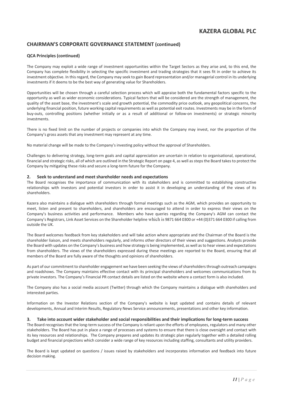### **CHAIRMAN'S CORPORATE GOVERNANCE STATEMENT (continued)**

### **QCA Principles (continued)**

The Company may exploit a wide range of investment opportunities within the Target Sectors as they arise and, to this end, the Company has complete flexibility in selecting the specific investment and trading strategies that it sees fit in order to achieve its investment objective. In this regard, the Company may seek to gain Board representation and/or managerial control in its underlying investments if it deems to be the best way of generating value for Shareholders.

Opportunities will be chosen through a careful selection process which will appraise both the fundamental factors specific to the opportunity as well as wider economic considerations. Typical factors that will be considered are the strength of management, the quality of the asset base, the investment's scale and growth potential, the commodity price outlook, any geopolitical concerns, the underlying financial position, future working capital requirements as well as potential exit routes. Investments may be in the form of buy-outs, controlling positions (whether initially or as a result of additional or follow-on investments) or strategic minority investments.

There is no fixed limit on the number of projects or companies into which the Company may invest, nor the proportion of the Company's gross assets that any investment may represent at any time.

No material change will be made to the Company's investing policy without the approval of Shareholders.

Challenges to delivering strategy, long-term goals and capital appreciation are uncertain in relation to organisational, operational, financial and strategic risks, all of which are outlined in the Strategic Report on page 4, as well as steps the Board takes to protect the Company by mitigating these risks and secure a long-term future for the Company.

#### **2. Seek to understand and meet shareholder needs and expectations**

The Board recognises the importance of communication with its stakeholders and is committed to establishing constructive relationships with investors and potential investors in order to assist it in developing an understanding of the views of its shareholders.

Kazera also maintains a dialogue with shareholders through formal meetings such as the AGM, which provides an opportunity to meet, listen and present to shareholders, and shareholders are encouraged to attend in order to express their views on the Company's business activities and performance. Members who have queries regarding the Company's AGM can contact the Company's Registrars, Link Asset Services on the Shareholder helpline which is 9871 664 0300 or +44 (0)371 664 0300 if calling from outside the UK.

The Board welcomes feedback from key stakeholders and will take action where appropriate and the Chairman of the Board is the shareholder liaison, and meets shareholders regularly, and informs other directors of their views and suggestions. Analysts provide the Board with updates on the Company's business and how strategy is being implemented, as well as to hear views and expectations from shareholders. The views of the shareholders expressed during these meetings are reported to the Board, ensuring that all members of the Board are fully aware of the thoughts and opinions of shareholders.

As part of our commitment to shareholder engagement we have been seeking the views of shareholders through outreach campaigns and roadshows. The Company maintains effective contact with its principal shareholders and welcomes communications from its private investors. The Company's Financial PR contact details are listed on the website where a contact form is also included.

The Company also has a social media account (Twitter) through which the Company maintains a dialogue with shareholders and interested parties.

Information on the Investor Relations section of the Company's website is kept updated and contains details of relevant developments, Annual and Interim Results, Regulatory News Service announcements, presentations and other key information.

#### **3. Take into account wider stakeholder and social responsibilities and their implications for long-term success**

The Board recognises that the long-term success of the Company is reliant upon the efforts of employees, regulators and many other stakeholders. The Board has put in place a range of processes and systems to ensure that there is close oversight and contact with its key resources and relationships. The Company prepares and updates its strategic plan regularly together with a detailed rolling budget and financial projections which consider a wide range of key resources including staffing, consultants and utility providers.

The Board is kept updated on questions / issues raised by stakeholders and incorporates information and feedback into future decision making.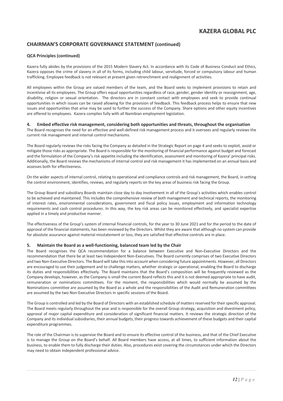### **CHAIRMAN'S CORPORATE GOVERNANCE STATEMENT (continued)**

### **QCA Principles (continued)**

Kazera fully abides by the provisions of the 2015 Modern Slavery Act. In accordance with its Code of Business Conduct and Ethics, Kazera opposes the crime of slavery in all of its forms, including child labour, servitude, forced or compulsory labour and human trafficking. Employee feedback is not relevant at present given retrenchment and realignment of activities.

All employees within the Group are valued members of the team, and the Board seeks to implement provisions to retain and incentivise all its employees. The Group offers equal opportunities regardless of race, gender, gender identity or reassignment, age, disability, religion or sexual orientation. The directors are in constant contact with employees and seek to provide continual opportunities in which issues can be raised allowing for the provision of feedback. This feedback process helps to ensure that new issues and opportunities that arise may be used to further the success of the Company. Share options and other equity incentives are offered to employees. Kazera complies fully with all Namibian employment legislation.

#### **4. Embed effective risk management, considering both opportunities and threats, throughout the organisation**

The Board recognises the need for an effective and well-defined risk management process and it oversees and regularly reviews the current risk management and internal control mechanisms.

The Board regularly reviews the risks facing the Company as detailed in the Strategic Report on page 4 and seeks to exploit, avoid or mitigate those risks as appropriate. The Board is responsible for the monitoring of financial performance against budget and forecast and the formulation of the Company's risk appetite including the identification, assessment and monitoring of Kazera' principal risks. Additionally, the Board reviews the mechanisms of internal control and risk management it has implemented on an annual basis and assesses both for effectiveness.

On the wider aspects of internal control, relating to operational and compliance controls and risk management, the Board, in setting the control environment, identifies, reviews, and regularly reports on the key areas of business risk facing the Group.

The Group Board and subsidiary Boards maintain close day to day involvement in all of the Group's activities which enables control to be achieved and maintained. This includes the comprehensive review of both management and technical reports, the monitoring of interest rates, environmental considerations, government and fiscal policy issues, employment and information technology requirements and cash control procedures. In this way, the key risk areas can be monitored effectively, and specialist expertise applied in a timely and productive manner.

The effectiveness of the Group's system of internal financial controls, for the year to 30 June 2021 and for the period to the date of approval of the financial statements, has been reviewed by the Directors. Whilst they are aware that although no system can provide for absolute assurance against material misstatement or loss, they are satisfied that effective controls are in place.

#### **5. Maintain the Board as a well-functioning, balanced team led by the Chair**

The Board recognises the QCA recommendation for a balance between Executive and Non-Executive Directors and the recommendation that there be at least two Independent Non-Executives. The Board currently comprises of two Executive Directors and two Non-Executive Directors. The Board will take this into account when considering future appointments. However, all Directors are encouraged to use their judgement and to challenge matters, whether strategic or operational, enabling the Board to discharge its duties and responsibilities effectively. The Board maintains that the Board's composition will be frequently reviewed as the Company develops, however, as the Company is small the current Board reflects this and it is not deemed appropriate to have audit, remuneration or nominations committees. For the moment, the responsibilities which would normally be assumed by the Nominations committee are assumed by the Board as a whole and the responsibilities of the Audit and Remuneration committees are assumed by the two Non-Executive Directors in specific sessions of the Board.

The Group is controlled and led by the Board of Directors with an established schedule of matters reserved for their specific approval. The Board meets regularly throughout the year and is responsible for the overall Group strategy, acquisition and divestment policy, approval of major capital expenditure and consideration of significant financial matters. It reviews the strategic direction of the Company and its individual subsidiaries, their annual budgets, their progress towards achievement of these budgets and their capital expenditure programmes.

The role of the Chairman is to supervise the Board and to ensure its effective control of the business, and that of the Chief Executive is to manage the Group on the Board's behalf. All Board members have access, at all times, to sufficient information about the business, to enable them to fully discharge their duties. Also, procedures exist covering the circumstances under which the Directors may need to obtain independent professional advice.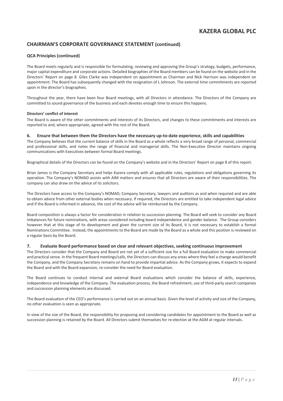### **CHAIRMAN'S CORPORATE GOVERNANCE STATEMENT (continued)**

### **QCA Principles (continued)**

The Board meets regularly and is responsible for formulating, reviewing and approving the Group's strategy, budgets, performance, major capital expenditure and corporate actions. Detailed biographies of the Board members can be found on the website and in the Directors' Report on page 8. Giles Clarke was independent on appointment as Chairman and Nick Harrison was independent on appointment. The Board has subsequently changed with the resignation of L Johnson. The external time commitments are reported upon in the director's biographies.

Throughout the year, there have been four Board meetings, with all Directors in attendance. The Directors of the Company are committed to sound governance of the business and each devotes enough time to ensure this happens.

#### **Directors' conflict of interest**

The Board is aware of the other commitments and interests of its Directors, and changes to these commitments and interests are reported to and, where appropriate, agreed with the rest of the Board.

#### **6. Ensure that between them the Directors have the necessary up-to-date experience, skills and capabilities**

The Company believes that the current balance of skills in the Board as a whole reflects a very broad range of personal, commercial and professional skills, and notes the range of financial and managerial skills. The Non-Executive Director maintains ongoing communications with Executives between formal Board meetings.

Biographical details of the Directors can be found on the Company's website and in the Directors' Report on page 8 of this report.

Brian James is the Company Secretary and helps Kazera comply with all applicable rules, regulations and obligations governing its operation. The Company's NOMAD assists with AIM matters and ensures that all Directors are aware of their responsibilities. The company can also draw on the advice of its solicitors.

The Directors have access to the Company's NOMAD, Company Secretary, lawyers and auditors as and when required and are able to obtain advice from other external bodies when necessary. If required, the Directors are entitled to take independent legal advice and if the Board is informed in advance, the cost of the advice will be reimbursed by the Company.

Board composition is always a factor for consideration in relation to succession planning. The Board will seek to consider any Board imbalances for future nominations, with areas considered including board independence and gender balance. The Group considers however that at this stage of its development and given the current size of its Board, it is not necessary to establish a formal Nominations Committee. Instead, the appointments to the Board are made by the Board as a whole and this position is reviewed on a regular basis by the Board.

#### **7. Evaluate Board performance based on clear and relevant objectives, seeking continuous improvement**

The Directors consider that the Company and Board are not yet of a sufficient size for a full Board evaluation to make commercial and practical sense. In the frequent Board meetings/calls, the Directors can discuss any areas where they feel a change would benefit the Company, and the Company Secretary remains on hand to provide impartial advice. As the Company grows, it expects to expand the Board and with the Board expansion, re-consider the need for Board evaluation.

The Board continues to conduct internal and external Board evaluations which consider the balance of skills, experience, independence and knowledge of the Company. The evaluation process, the Board refreshment, use of third-party search companies and succession planning elements are discussed.

The Board evaluation of the CEO's performance is carried out on an annual basis. Given the level of activity and size of the Company, no other evaluation is seen as appropriate.

In view of the size of the Board, the responsibility for proposing and considering candidates for appointment to the Board as well as succession planning is retained by the Board. All Directors submit themselves for re-election at the AGM at regular intervals.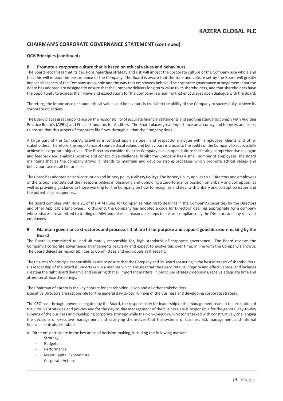### **CHAIRMAN'S CORPORATE GOVERNANCE STATEMENT (continued)**

### **QCA Principles (continued)**

### **8. Promote a corporate culture that is based on ethical values and behaviours**

The Board recognises that its decisions regarding strategy and risk will impact the corporate culture of the Company as a whole and that this will impact the performance of the Company. The Board is aware that the tone and culture set by the Board will greatly impact all aspects of the Company as a whole and the way that employees behave. The corporate governance arrangements that the Board has adopted are designed to ensure that the Company delivers long term value to its shareholders, and that shareholders have the opportunity to express their views and expectations for the Company in a manner that encourages open dialogue with the Board.

Therefore, the importance of sound ethical values and behaviours is crucial to the ability of the Company to successfully achieve its corporate objectives.

The Board places great importance on the responsibility of accurate financial statements and auditing standards comply with Auditing Practice Board's (APB's) and Ethical Standards for Auditors. The Board places great importance on accuracy and honesty, and seeks to ensure that this aspect of corporate life flows through all that the Company does.

A large part of the Company's activities is centred upon an open and respectful dialogue with employees, clients and other stakeholders. Therefore, the importance of sound ethical values and behaviours is crucial to the ability of the Company to successfully achieve its corporate objectives. The Directors consider that the Company has an open culture facilitating comprehensive dialogue and feedback and enabling positive and constructive challenge. Whilst the Company has a small number of employees, the Board maintains that as the company grows it intends to maintain and develop strong processes which promote ethical values and behaviours across all hierarchies.

The Board has adopted an anti-corruption and bribery policy (**Bribery Policy**). The Bribery Policy applies to all Directors and employees of the Group, and sets out their responsibilities in observing and upholding a zero-tolerance position on bribery and corruption, as well as providing guidance to those working for the Company on how to recognise and deal with bribery and corruption issues and the potential consequences.

The Board complies with Rule 21 of the AIM Rules for Companies relating to dealings in the Company's securities by the Directors and other Applicable Employees. To this end, the Company has adopted a code for Directors' dealings appropriate for a company whose shares are admitted to trading on AIM and takes all reasonable steps to ensure compliance by the Directors and any relevant employees.

#### **9. Maintain governance structures and processes that are fit for purpose and support good decision-making by the Board**

The Board is committed to, and ultimately responsible for, high standards of corporate governance. The Board reviews the Company's corporate governance arrangements regularly and expect to evolve this over time, in line with the Company's growth. The Board delegates responsibilities to Committees and individuals as it sees fit.

The Chairman's principal responsibilities are to ensure that the Company and its Board are acting in the best interests of shareholders. His leadership of the Board is undertaken in a manner which ensures that the Board retains integrity and effectiveness, and includes creating the right Board dynamic and ensuring that all important matters, in particular strategic decisions, receive adequate time and attention at Board meetings.

The Chairman of Kazera is the key contact for shareholder liaison and all other stakeholders. Executive Directors are responsible for the general day-to-day running of the business and developing corporate strategy.

The CEO has, through powers delegated by the Board, the responsibility for leadership of the management team in the execution of the Group's strategies and policies and for the day-to-day management of the business. He is responsible for the general day-to-day running of the business and developing corporate strategy while the Non-Executive Director is tasked with constructively challenging the decisions of executive management and satisfying themselves that the systems of business risk management and internal financial controls are robust.

All Directors participate in the key areas of decision-making, including the following matters:

- **Strategy**
- **Budgets**
- **Performance**
- Major Capital Expenditure
- Corporate Actions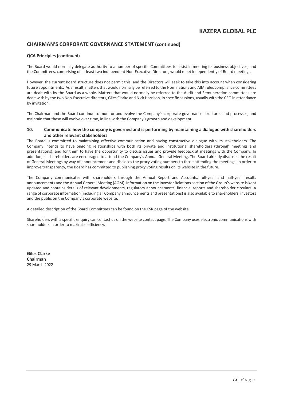### **CHAIRMAN'S CORPORATE GOVERNANCE STATEMENT (continued)**

### **QCA Principles (continued)**

The Board would normally delegate authority to a number of specific Committees to assist in meeting its business objectives, and the Committees, comprising of at least two independent Non-Executive Directors, would meet independently of Board meetings.

However, the current Board structure does not permit this, and the Directors will seek to take this into account when considering future appointments. As a result, matters that would normally be referred to the Nominations and AIM rules compliance committees are dealt with by the Board as a whole. Matters that would normally be referred to the Audit and Remuneration committees are dealt with by the two Non-Executive directors, Giles Clarke and Nick Harrison, in specific sessions, usually with the CEO in attendance by invitation.

The Chairman and the Board continue to monitor and evolve the Company's corporate governance structures and processes, and maintain that these will evolve over time, in line with the Company's growth and development.

### **10. Communicate how the company is governed and is performing by maintaining a dialogue with shareholders and other relevant stakeholders**

The Board is committed to maintaining effective communication and having constructive dialogue with its stakeholders. The Company intends to have ongoing relationships with both its private and institutional shareholders (through meetings and presentations), and for them to have the opportunity to discuss issues and provide feedback at meetings with the Company. In addition, all shareholders are encouraged to attend the Company's Annual General Meeting. The Board already discloses the result of General Meetings by way of announcement and discloses the proxy voting numbers to those attending the meetings. In order to improve transparency, the Board has committed to publishing proxy voting results on its website in the future.

The Company communicates with shareholders through the Annual Report and Accounts, full-year and half-year results announcements and the Annual General Meeting (AGM). Information on the Investor Relations section of the Group's website is kept updated and contains details of relevant developments, regulatory announcements, financial reports and shareholder circulars. A range of corporate information (including all Company announcements and presentations) is also available to shareholders, investors and the public on the Company's corporate website.

A detailed description of the Board Committees can be found on the CSR page of the website.

Shareholders with a specific enquiry can contact us on the website contact page. The Company uses electronic communications with shareholders in order to maximise efficiency.

**Giles Clarke Chairman** 29 March 2022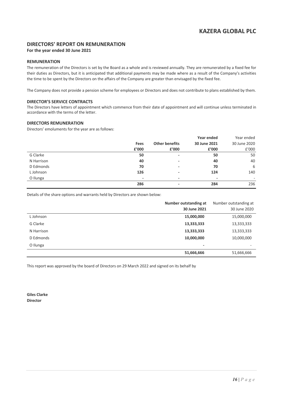### **DIRECTORS' REPORT ON REMUNERATION**

### **For the year ended 30 June 2021**

### **REMUNERATION**

The remuneration of the Directors is set by the Board as a whole and is reviewed annually. They are remunerated by a fixed fee for their duties as Directors, but it is anticipated that additional payments may be made where as a result of the Company's activities the time to be spent by the Directors on the affairs of the Company are greater than envisaged by the fixed fee.

The Company does not provide a pension scheme for employees or Directors and does not contribute to plans established by them.

### **DIRECTOR'S SERVICE CONTRACTS**

The Directors have letters of appointment which commence from their date of appointment and will continue unless terminated in accordance with the terms of the letter.

### **DIRECTORS REMUNERATION**

Directors' emoluments for the year are as follows:

|            |       |                          | Year ended               | Year ended               |
|------------|-------|--------------------------|--------------------------|--------------------------|
|            | Fees  | <b>Other benefits</b>    | 30 June 2021             | 30 June 2020             |
|            | £'000 | £'000                    | £'000                    | £'000                    |
| G Clarke   | 50    | $\overline{\phantom{a}}$ | 50                       | 50                       |
| N Harrison | 40    | $\overline{\phantom{a}}$ | 40                       | 40                       |
| D Edmonds  | 70    | $\overline{\phantom{a}}$ | 70                       | 6                        |
| L Johnson  | 126   | $\overline{\phantom{a}}$ | 124                      | 140                      |
| O Ilunga   | -     | $\overline{\phantom{0}}$ | $\overline{\phantom{0}}$ | $\overline{\phantom{a}}$ |
|            | 286   | $\overline{\phantom{a}}$ | 284                      | 236                      |

Details of the share options and warrants held by Directors are shown below:

|            | Number outstanding at<br>30 June 2021 | Number outstanding at<br>30 June 2020 |
|------------|---------------------------------------|---------------------------------------|
| L Johnson  | 15,000,000                            | 15,000,000                            |
| G Clarke   | 13,333,333                            | 13,333,333                            |
| N Harrison | 13,333,333                            | 13,333,333                            |
| D Edmonds  | 10,000,000                            | 10,000,000                            |
| O Ilunga   | $\overline{\phantom{a}}$              |                                       |
|            | 51,666,666                            | 51,666,666                            |

This report was approved by the board of Directors on 29 March 2022 and signed on its behalf by

**Giles Clarke Director**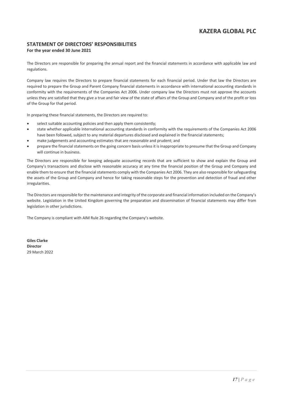### **STATEMENT OF DIRECTORS' RESPONSIBILITIES For the year ended 30 June 2021**

The Directors are responsible for preparing the annual report and the financial statements in accordance with applicable law and regulations.

Company law requires the Directors to prepare financial statements for each financial period. Under that law the Directors are required to prepare the Group and Parent Company financial statements in accordance with international accounting standards in conformity with the requirements of the Companies Act 2006. Under company law the Directors must not approve the accounts unless they are satisfied that they give a true and fair view of the state of affairs of the Group and Company and of the profit or loss of the Group for that period.

In preparing these financial statements, the Directors are required to:

- select suitable accounting policies and then apply them consistently;
- state whether applicable international accounting standards in conformity with the requirements of the Companies Act 2006 have been followed, subject to any material departures disclosed and explained in the financial statements;
- make judgements and accounting estimates that are reasonable and prudent; and
- prepare the financial statements on the going concern basis unless it is inappropriate to presume that the Group and Company will continue in business.

The Directors are responsible for keeping adequate accounting records that are sufficient to show and explain the Group and Company's transactions and disclose with reasonable accuracy at any time the financial position of the Group and Company and enable them to ensure that the financial statements comply with the Companies Act 2006. They are also responsible for safeguarding the assets of the Group and Company and hence for taking reasonable steps for the prevention and detection of fraud and other irregularities.

The Directors are responsible for the maintenance and integrity of the corporate and financial information included on the Company's website. Legislation in the United Kingdom governing the preparation and dissemination of financial statements may differ from legislation in other jurisdictions.

The Company is compliant with AIM Rule 26 regarding the Company's website.

**Giles Clarke Director** 29 March 2022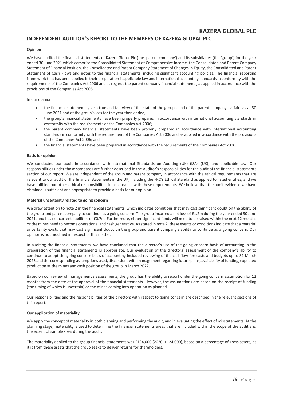### **INDEPENDENT AUDITOR'S REPORT TO THE MEMBERS OF KAZERA GLOBAL PLC**

### **Opinion**

We have audited the financial statements of Kazera Global Plc (the 'parent company') and its subsidiaries (the 'group') for the year ended 30 June 2021 which comprise the Consolidated Statement of Comprehensive Income, the Consolidated and Parent Company Statement of Financial Position, the Consolidated and Parent Company Statement of Changes in Equity, the Consolidated and Parent Statement of Cash Flows and notes to the financial statements, including significant accounting policies. The financial reporting framework that has been applied in their preparation is applicable law and international accounting standards in conformity with the requirements of the Companies Act 2006 and as regards the parent company financial statements, as applied in accordance with the provisions of the Companies Act 2006.

#### In our opinion:

- the financial statements give a true and fair view of the state of the group's and of the parent company's affairs as at 30 June 2021 and of the group's loss for the year then ended;
- the group's financial statements have been properly prepared in accordance with international accounting standards in conformity with the requirements of the Companies Act 2006;
- the parent company financial statements have been properly prepared in accordance with international accounting standards in conformity with the requirement of the Companies Act 2006 and as applied in accordance with the provisions of the Companies Act 2006; and
- the financial statements have been prepared in accordance with the requirements of the Companies Act 2006.

#### **Basis for opinion**

We conducted our audit in accordance with International Standards on Auditing (UK) (ISAs (UK)) and applicable law. Our responsibilities under those standards are further described in the Auditor's responsibilities for the audit of the financial statements section of our report. We are independent of the group and parent company in accordance with the ethical requirements that are relevant to our audit of the financial statements in the UK, including the FRC's Ethical Standard as applied to listed entities, and we have fulfilled our other ethical responsibilities in accordance with these requirements. We believe that the audit evidence we have obtained is sufficient and appropriate to provide a basis for our opinion.

#### **Material uncertainty related to going concern**

We draw attention to note 2 in the financial statements, which indicates conditions that may cast significant doubt on the ability of the group and parent company to continue as a going concern. The group incurred a net loss of £1.2m during the year ended 30 June 2021, and has net current liabilities of £0.7m. Furthermore, either significant funds will need to be raised within the next 12 months or the mines need to become operational and cash generative. As stated in note 2, these events or conditions indicate that a material uncertainty exists that may cast significant doubt on the group and parent company's ability to continue as a going concern. Our opinion is not modified in respect of this matter.

In auditing the financial statements, we have concluded that the director's use of the going concern basis of accounting in the preparation of the financial statements is appropriate. Our evaluation of the directors' assessment of the company's ability to continue to adopt the going concern basis of accounting included reviewing of the cashflow forecasts and budgets up to 31 March 2023 and the corresponding assumptions used, discussions with management regarding future plans, availability of funding, expected production at the mines and cash position of the group in March 2022.

Based on our review of management's assessments, the group has the ability to report under the going concern assumption for 12 months from the date of the approval of the financial statements. However, the assumptions are based on the receipt of funding (the timing of which is uncertain) or the mines coming into operation as planned.

Our responsibilities and the responsibilities of the directors with respect to going concern are described in the relevant sections of this report.

#### **Our application of materiality**

We apply the concept of materiality in both planning and performing the audit, and in evaluating the effect of misstatements. At the planning stage, materiality is used to determine the financial statements areas that are included within the scope of the audit and the extent of sample sizes during the audit.

The materiality applied to the group financial statements was £194,000 (2020: £124,000), based on a percentage of gross assets, as it is from these assets that the group seeks to deliver returns for shareholders.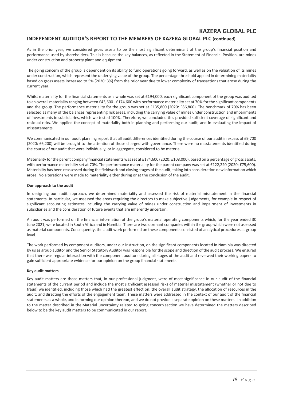### **INDEPENDENT AUDITOR'S REPORT TO THE MEMBERS OF KAZERA GLOBAL PLC (continued)**

As in the prior year, we considered gross assets to be the most significant determinant of the group's financial position and performance used by shareholders. This is because the key balances, as reflected in the Statement of Financial Position, are mines under construction and property plant and equipment.

The going concern of the group is dependent on its ability to fund operations going forward, as well as on the valuation of its mines under construction, which represent the underlying value of the group. The percentage threshold applied in determining materiality based on gross assets increased to 5% (2020: 3%) from the prior year due to lower complexity of transactions that arose during the current year.

Whilst materiality for the financial statements as a whole was set at £194,000, each significant component of the group was audited to an overall materiality ranging between £43,600 - £174,600 with performance materiality set at 70% for the significant components and the group. The performance materiality for the group was set at £135,800 (2020: £86,800). The benchmark of 70% has been selected as many of the balances representing risk areas, including the carrying value of mines under construction and impairments of investments in subsidiaries, which we tested 100%. Therefore, we concluded this provided sufficient coverage of significant and residual risks. We applied the concept of materiality both in planning and performing our audit, and in evaluating the impact of misstatements.

We communicated in our audit planning report that all audit differences identified during the course of our audit in excess of £9,700 (2020: £6,200) will be brought to the attention of those charged with governance. There were no misstatements identified during the course of our audit that were individually, or in aggregate, considered to be material.

Materiality for the parent company financial statements was set at £174,600 (2020: £108,000), based on a percentage of gross assets. with performance materiality set at 70%. The performance materiality for the parent company was set at £122,220 (2020: £75,600). Materiality has been reassessed during the fieldwork and closing stages of the audit, taking into consideration new information which arose. No alterations were made to materiality either during or at the conclusion of the audit.

#### **Our approach to the audit**

In designing our audit approach, we determined materiality and assessed the risk of material misstatement in the financial statements. In particular, we assessed the areas requiring the directors to make subjective judgements, for example in respect of significant accounting estimates including the carrying value of mines under construction and impairment of investments in subsidiaries and the consideration of future events that are inherently uncertain.

An audit was performed on the financial information of the group's material operating components which, for the year ended 30 June 2021, were located in South Africa and in Namibia. There are two dormant companies within the group which were not assessed as material components. Consequently, the audit work performed on these components consisted of analytical procedures at group level.

The work performed by component auditors, under our instruction, on the significant components located in Namibia was directed by us as group auditor and the Senior Statutory Auditor was responsible for the scope and direction of the audit process. We ensured that there was regular interaction with the component auditors during all stages of the audit and reviewed their working papers to gain sufficient appropriate evidence for our opinion on the group financial statements.

#### **Key audit matters**

Key audit matters are those matters that, in our professional judgment, were of most significance in our audit of the financial statements of the current period and include the most significant assessed risks of material misstatement (whether or not due to fraud) we identified, including those which had the greatest effect on: the overall audit strategy, the allocation of resources in the audit; and directing the efforts of the engagement team. These matters were addressed in the context of our audit of the financial statements as a whole, and in forming our opinion thereon, and we do not provide a separate opinion on these matters. In addition to the matter described in the Material uncertainty related to going concern section we have determined the matters described below to be the key audit matters to be communicated in our report.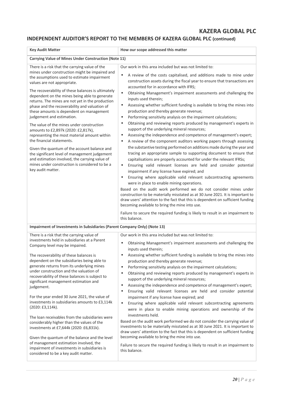### **INDEPENDENT AUDITOR'S REPORT TO THE MEMBERS OF KAZERA GLOBAL PLC (continued)**

| <b>Key Audit Matter</b>                                                                                                                                                                                                                                                                                                                                                                                                                                                                                                                                                                                                                                                                                                                                                                                                                                        | How our scope addressed this matter                                                                                                                                                                                                                                                                                                                                                                                                                                                                                                                                                                                                                                                                                                                                                                                                                                                                                                                                                                                                                                                                                                                                                                                                                                                                                                                                                                                                                                                                                                                                                                                       |
|----------------------------------------------------------------------------------------------------------------------------------------------------------------------------------------------------------------------------------------------------------------------------------------------------------------------------------------------------------------------------------------------------------------------------------------------------------------------------------------------------------------------------------------------------------------------------------------------------------------------------------------------------------------------------------------------------------------------------------------------------------------------------------------------------------------------------------------------------------------|---------------------------------------------------------------------------------------------------------------------------------------------------------------------------------------------------------------------------------------------------------------------------------------------------------------------------------------------------------------------------------------------------------------------------------------------------------------------------------------------------------------------------------------------------------------------------------------------------------------------------------------------------------------------------------------------------------------------------------------------------------------------------------------------------------------------------------------------------------------------------------------------------------------------------------------------------------------------------------------------------------------------------------------------------------------------------------------------------------------------------------------------------------------------------------------------------------------------------------------------------------------------------------------------------------------------------------------------------------------------------------------------------------------------------------------------------------------------------------------------------------------------------------------------------------------------------------------------------------------------------|
| Carrying Value of Mines Under Construction (Note 11)                                                                                                                                                                                                                                                                                                                                                                                                                                                                                                                                                                                                                                                                                                                                                                                                           |                                                                                                                                                                                                                                                                                                                                                                                                                                                                                                                                                                                                                                                                                                                                                                                                                                                                                                                                                                                                                                                                                                                                                                                                                                                                                                                                                                                                                                                                                                                                                                                                                           |
| There is a risk that the carrying value of the<br>mines under construction might be impaired and<br>the assumptions used to estimate impairment<br>values are not appropriate.<br>The recoverability of these balances is ultimately<br>dependent on the mines being able to generate<br>returns. The mines are not yet in the production<br>phase and the recoverability and valuation of<br>these amounts is dependent on management<br>judgement and estimation.<br>The value of the mines under construction<br>amounts to £2,897k (2020: £2,817k),<br>representing the most material amount within<br>the financial statements.<br>Given the quantum of the account balance and<br>the significant level of management judgement<br>and estimation involved, the carrying value of<br>mines under construction is considered to be a<br>key audit matter. | Our work in this area included but was not limited to:<br>A review of the costs capitalised, and additions made to mine under<br>٠<br>construction assets during the fiscal year to ensure that transactions are<br>accounted for in accordance with IFRS;<br>٠<br>Obtaining Management's impairment assessments and challenging the<br>inputs used therein;<br>٠<br>Assessing whether sufficient funding is available to bring the mines into<br>production and thereby generate revenue;<br>Performing sensitivity analysis on the impairment calculations;<br>٠<br>Obtaining and reviewing reports produced by management's experts in<br>٠<br>support of the underlying mineral resources;<br>Assessing the independence and competence of management's expert;<br>٠<br>A review of the component auditors working papers through assessing<br>٠<br>the substantive testing performed on additions made during the year and<br>tracing an appropriate sample to supporting document to ensure that<br>capitalisations are properly accounted for under the relevant IFRSs;<br>Ensuring valid relevant licenses are held and consider potential<br>٠<br>impairment if any license have expired; and<br>Ensuring where applicable valid relevant subcontracting agreements<br>٠<br>were in place to enable mining operations.<br>Based on the audit work performed we do not consider mines under<br>construction to be materially misstated as at 30 June 2021. It is important to<br>draw users' attention to the fact that this is dependent on sufficient funding<br>becoming available to bring the mine into use. |
|                                                                                                                                                                                                                                                                                                                                                                                                                                                                                                                                                                                                                                                                                                                                                                                                                                                                | Failure to secure the required funding is likely to result in an impairment to<br>this balance.                                                                                                                                                                                                                                                                                                                                                                                                                                                                                                                                                                                                                                                                                                                                                                                                                                                                                                                                                                                                                                                                                                                                                                                                                                                                                                                                                                                                                                                                                                                           |
| Impairment of Investments in Subsidiaries (Parent Company Only) (Note 13)                                                                                                                                                                                                                                                                                                                                                                                                                                                                                                                                                                                                                                                                                                                                                                                      |                                                                                                                                                                                                                                                                                                                                                                                                                                                                                                                                                                                                                                                                                                                                                                                                                                                                                                                                                                                                                                                                                                                                                                                                                                                                                                                                                                                                                                                                                                                                                                                                                           |
| There is a risk that the carrying value of<br>investments held in subsidiaries at a Parent<br>Company level may be impaired.<br>The recoverability of these balances is<br>dependent on the subsidiaries being able to<br>generate returns from its underlying mines<br>under construction and the valuation of<br>recoverability of these balances is subject to<br>significant management estimation and<br>judgement.<br>For the year ended 30 June 2021, the value of<br>investments in subsidiaries amounts to £3,114k<br>(2020: £3,114k).<br>The loan receivables from the subsidiaries were<br>considerably higher than the values of the<br>investments at £7,644k (2020: £6,831k).<br>Given the quantum of the balance and the level                                                                                                                  | Our work in this area included but was not limited to:<br>Obtaining Management's impairment assessments and challenging the<br>٠<br>inputs used therein;<br>Assessing whether sufficient funding is available to bring the mines into<br>production and thereby generate revenue;<br>Performing sensitivity analysis on the impairment calculations;<br>Obtaining and reviewing reports produced by management's experts in<br>٠<br>support of the underlying mineral resources;<br>Assessing the independence and competence of management's expert;<br>٠<br>Ensuring valid relevant licenses are held and consider potential<br>٠<br>impairment if any license have expired; and<br>Ensuring where applicable valid relevant subcontracting agreements<br>٠<br>were in place to enable mining operations and ownership of the<br>investments held.<br>Based on the audit work performed we do not consider the carrying value of<br>investments to be materially misstated as at 30 June 2021. It is important to<br>draw users' attention to the fact that this is dependent on sufficient funding<br>becoming available to bring the mine into use.                                                                                                                                                                                                                                                                                                                                                                                                                                                                   |
| of management estimation involved, the<br>impairment of investments in subsidiaries is<br>considered to be a key audit matter.                                                                                                                                                                                                                                                                                                                                                                                                                                                                                                                                                                                                                                                                                                                                 | Failure to secure the required funding is likely to result in an impairment to<br>this balance.                                                                                                                                                                                                                                                                                                                                                                                                                                                                                                                                                                                                                                                                                                                                                                                                                                                                                                                                                                                                                                                                                                                                                                                                                                                                                                                                                                                                                                                                                                                           |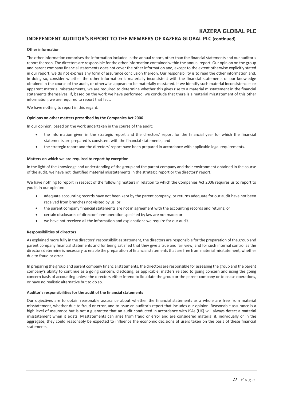### **INDEPENDENT AUDITOR'S REPORT TO THE MEMBERS OF KAZERA GLOBAL PLC (continued)**

### **Other information**

The other information comprises the information included in the annual report, other than the financial statements and our auditor's report thereon. The directors are responsible for the other information contained within the annual report. Our opinion on the group and parent company financial statements does not cover the other information and, except to the extent otherwise explicitly stated in our report, we do not express any form of assurance conclusion thereon. Our responsibility is to read the other information and, in doing so, consider whether the other information is materially inconsistent with the financial statements or our knowledge obtained in the course of the audit, or otherwise appears to be materially misstated. If we identify such material inconsistencies or apparent material misstatements, we are required to determine whether this gives rise to a material misstatement in the financial statements themselves. If, based on the work we have performed, we conclude that there is a material misstatement of this other information, we are required to report that fact.

We have nothing to report in this regard.

#### **Opinions on other matters prescribed by the Companies Act 2006**

In our opinion, based on the work undertaken in the course of the audit:

- the information given in the strategic report and the directors' report for the financial year for which the financial statements are prepared is consistent with the financial statements; and
- the strategic report and the directors' report have been prepared in accordance with applicable legal requirements.

#### **Matters on which we are required to report by exception**

In the light of the knowledge and understanding of the group and the parent company and their environment obtained in the course of the audit, we have not identified material misstatements in the strategic report or the directors' report.

We have nothing to report in respect of the following matters in relation to which the Companies Act 2006 requires us to report to you if, in our opinion:

- adequate accounting records have not been kept by the parent company, or returns adequate for our audit have not been received from branches not visited by us; or
- the parent company financial statements are not in agreement with the accounting records and returns; or
- certain disclosures of directors' remuneration specified by law are not made; or
- we have not received all the information and explanations we require for our audit.

#### **Responsibilities of directors**

As explained more fully in the directors' responsibilities statement, the directors are responsible for the preparation of the group and parent company financial statements and for being satisfied that they give a true and fair view, and for such internal control as the directors determine is necessary to enable the preparation of financial statements that are free from material misstatement, whether due to fraud or error.

In preparing the group and parent company financial statements, the directors are responsible for assessing the group and the parent company's ability to continue as a going concern, disclosing, as applicable, matters related to going concern and using the going concern basis of accounting unless the directors either intend to liquidate the group or the parent company or to cease operations, or have no realistic alternative but to do so.

#### **Auditor's responsibilities for the audit of the financial statements**

Our objectives are to obtain reasonable assurance about whether the financial statements as a whole are free from material misstatement, whether due to fraud or error, and to issue an auditor's report that includes our opinion. Reasonable assurance is a high level of assurance but is not a guarantee that an audit conducted in accordance with ISAs (UK) will always detect a material misstatement when it exists. Misstatements can arise from fraud or error and are considered material if, individually or in the aggregate, they could reasonably be expected to influence the economic decisions of users taken on the basis of these financial statements.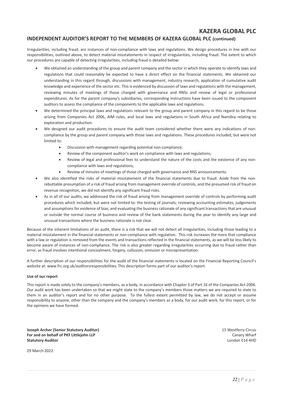### **INDEPENDENT AUDITOR'S REPORT TO THE MEMBERS OF KAZERA GLOBAL PLC (continued)**

Irregularities, including fraud, are instances of non-compliance with laws and regulations. We design procedures in line with our responsibilities, outlined above, to detect material misstatements in respect of irregularities, including fraud. The extent to which our procedures are capable of detecting irregularities, including fraud is detailed below:

- We obtained an understanding of the group and parent company and the sector in which they operate to identify laws and regulations that could reasonably be expected to have a direct effect on the financial statements. We obtained our understanding in this regard through, discussions with management, industry research, application of cumulative audit knowledge and experience of the sector etc. This is evidenced by discussion of laws and regulations with the management, reviewing minutes of meetings of those charged with governance and RNSs and review of legal or professional expenditures. As for the parent company's subsidiaries, corresponding instructions have been issued to the component auditors to assess the compliance of the components to the applicable laws and regulations.
- We determined the principal laws and regulations relevant to the group and parent company in this regard to be those arising from Companies Act 2006, AIM rules, and local laws and regulations in South Africa and Namibia relating to exploration and production.
- We designed our audit procedures to ensure the audit team considered whether there were any indications of noncompliance by the group and parent company with those laws and regulations. These procedures included, but were not limited to:
	- Discussion with management regarding potential non-compliance;
	- Review of the component auditor's work on compliance with laws and regulations;
	- Review of legal and professional fees to understand the nature of the costs and the existence of any noncompliance with laws and regulations;
	- Review of minutes of meetings of those charged with governance and RNS announcements.
- We also identified the risks of material misstatement of the financial statements due to fraud. Aside from the nonrebuttable presumption of a risk of fraud arising from management override of controls, and the presumed risk of fraud on revenue recognition, we did not identify any significant fraud risks.
- As in all of our audits, we addressed the risk of fraud arising from management override of controls by performing audit procedures which included, but were not limited to: the testing of journals; reviewing accounting estimates, judgements and assumptions for evidence of bias; and evaluating the business rationale of any significant transactions that are unusual or outside the normal course of business and review of the bank statements during the year to identify any large and unusual transactions where the business rationale is not clear.

Because of the inherent limitations of an audit, there is a risk that we will not detect all irregularities, including those leading to a material misstatement in the financial statements or non-compliance with regulation. This risk increases the more that compliance with a law or regulation is removed from the events and transactions reflected in the financial statements, as we will be less likely to become aware of instances of non-compliance. The risk is also greater regarding irregularities occurring due to fraud rather than error, as fraud involves intentional concealment, forgery, collusion, omission or misrepresentation.

A further description of our responsibilities for the audit of the financial statements is located on the Financial Reporting Council's website at: www.frc.org.uk/auditorsresponsibilities. This description forms part of our auditor's report.

#### **Use of our report**

This report is made solely to the company's members, as a body, in accordance with Chapter 3 of Part 16 of the Companies Act 2006. Our audit work has been undertaken so that we might state to the company's members those matters we are required to state to them in an auditor's report and for no other purpose. To the fullest extent permitted by law, we do not accept or assume responsibility to anyone, other than the company and the company's members as a body, for our audit work, for this report, or for the opinions we have formed.

**Joseph Archer (Senior Statutory Auditor)** 15 Westferry Circus **For and on behalf of PKF Littlejohn LLP** Canary Wharf Canary Wharf Canary Wharf Canary Wharf Canary Wharf Canary Wharf Canary Wharf Canary Wharf Canary Wharf Canary Wharf Canary Wharf Canary Mharf Canary Canary Canary Can **Statutory Auditor** 

29 March 2022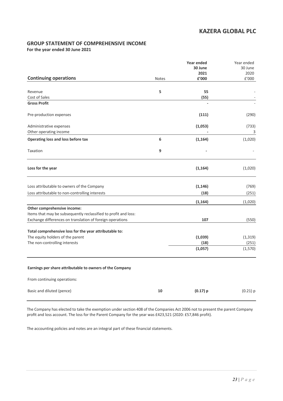### **GROUP STATEMENT OF COMPREHENSIVE INCOME**

**For the year ended 30 June 2021**

|                                                                 |              | Year ended<br>30 June  | Year ended<br>30 June |
|-----------------------------------------------------------------|--------------|------------------------|-----------------------|
|                                                                 |              | 2021                   | 2020                  |
| <b>Continuing operations</b>                                    | <b>Notes</b> | ${\bf f}^{\prime}$ 000 | £'000                 |
| Revenue                                                         | 5            | 55                     |                       |
| Cost of Sales                                                   |              | (55)                   |                       |
| <b>Gross Profit</b>                                             |              |                        |                       |
| Pre-production expenses                                         |              | (111)                  | (290)                 |
| Administrative expenses                                         |              | (1,053)                | (733)                 |
| Other operating income                                          |              |                        | 3                     |
| Operating loss and loss before tax                              | 6            | (1, 164)               | (1,020)               |
| Taxation                                                        | 9            |                        |                       |
| Loss for the year                                               |              | (1, 164)               | (1,020)               |
| Loss attributable to owners of the Company                      |              | (1, 146)               | (769)                 |
| Loss attributable to non-controlling interests                  |              | (18)                   | (251)                 |
|                                                                 |              | (1, 164)               | (1,020)               |
| Other comprehensive income:                                     |              |                        |                       |
| Items that may be subsequently reclassified to profit and loss: |              |                        |                       |
| Exchange differences on translation of foreign operations       |              | 107                    | (550)                 |
| Total comprehensive loss for the year attributable to:          |              |                        |                       |
| The equity holders of the parent                                |              | (1,039)                | (1, 319)              |
| The non-controlling interests                                   |              | (18)                   | (251)                 |
|                                                                 |              | (1,057)                | (1,570)               |
| Earnings per share attributable to owners of the Company        |              |                        |                       |
| From continuing operations:                                     |              |                        |                       |
| Basic and diluted (pence)                                       | 10           | $(0.17)$ p             | $(0.21)$ p            |

The Company has elected to take the exemption under section 408 of the Companies Act 2006 not to present the parent Company profit and loss account. The loss for the Parent Company for the year was £423,521 (2020: £57,846 profit).

The accounting policies and notes are an integral part of these financial statements.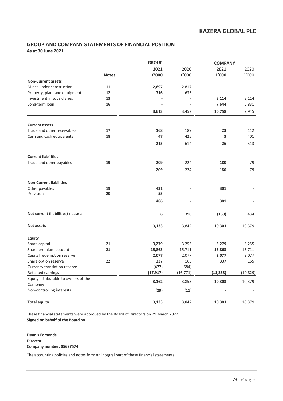### **GROUP AND COMPANY STATEMENTS OF FINANCIAL POSITION As at 30 June 2021**

|                                      |              | <b>GROUP</b>             |           | <b>COMPANY</b> |                      |
|--------------------------------------|--------------|--------------------------|-----------|----------------|----------------------|
|                                      |              | 2021                     | 2020      | 2021           | 2020                 |
|                                      | <b>Notes</b> | £'000                    | £'000     | £'000          | $\rm{f}^{\prime}000$ |
| <b>Non-Current assets</b>            |              |                          |           |                |                      |
| Mines under construction             | 11           | 2,897                    | 2,817     |                |                      |
| Property, plant and equipment        | 12           | 716                      | 635       |                |                      |
| Investment in subsidiaries           | 13           |                          |           | 3,114          | 3,114                |
| Long-term loan                       | 16           | $\overline{\phantom{a}}$ |           | 7,644          | 6,831                |
|                                      |              | 3,613                    | 3,452     | 10,758         | 9,945                |
| <b>Current assets</b>                |              |                          |           |                |                      |
| Trade and other receivables          | 17           | 168                      | 189       | 23             | 112                  |
| Cash and cash equivalents            | 18           | 47                       | 425       | 3              | 401                  |
|                                      |              | 215                      | 614       | 26             | 513                  |
| <b>Current liabilities</b>           |              |                          |           |                |                      |
| Trade and other payables             | 19           | 209                      | 224       | 180            | 79                   |
|                                      |              | 209                      | 224       | 180            | 79                   |
| <b>Non-Current liabilities</b>       |              |                          |           |                |                      |
| Other payables                       | 19           | 431                      |           | 301            |                      |
| Provisions                           | 20           | 55                       |           | $\overline{a}$ |                      |
|                                      |              | 486                      |           | 301            |                      |
| Net current (liabilities) / assets   |              | 6                        | 390       | (150)          | 434                  |
| <b>Net assets</b>                    |              | 3,133                    | 3,842     | 10,303         | 10,379               |
| <b>Equity</b>                        |              |                          |           |                |                      |
| Share capital                        | 21           | 3,279                    | 3,255     | 3,279          | 3,255                |
| Share premium account                | 21           | 15,863                   | 15,711    | 15,863         | 15,711               |
| Capital redemption reserve           |              | 2,077                    | 2,077     | 2,077          | 2,077                |
| Share option reserve                 | 22           | 337                      | 165       | 337            | 165                  |
| Currency translation reserve         |              | (477)                    | (584)     |                |                      |
| Retained earnings                    |              | (17, 917)                | (16, 771) | (11, 253)      | (10, 829)            |
| Equity attributable to owners of the |              |                          |           | 10,303         |                      |
| Company                              |              | 3,162                    | 3,853     |                | 10,379               |
| Non-controlling interests            |              | (29)                     | (11)      |                |                      |
| <b>Total equity</b>                  |              | 3,133                    | 3,842     | 10,303         | 10,379               |

These financial statements were approved by the Board of Directors on 29 March 2022. **Signed on behalf of the Board by**

**Dennis Edmonds Director Company number: 05697574**

The accounting policies and notes form an integral part of these financial statements.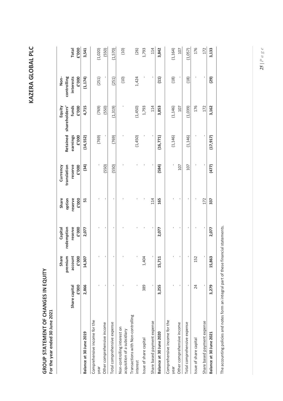| ŗ<br>ļ |
|--------|
|        |
|        |
|        |
|        |
| с      |
|        |
|        |
| 1      |
| ς      |
| ŕ      |
| J      |
|        |
| ۹      |
|        |

**GROUP STATEMENT OF CHANGES IN EQUITY**<br>For the year ended 30 June 2021 **GROUP STATEMENT OF CHANGES IN EQUITY For the year ended 30 June 2021**

|                                                            |                        | Ф<br>premium<br>Shar | Capital<br>redemption | option<br>Share  | Currency<br>translation | Retained          | Equity<br>shareholders' | Non-<br>controlling |                |
|------------------------------------------------------------|------------------------|----------------------|-----------------------|------------------|-------------------------|-------------------|-------------------------|---------------------|----------------|
|                                                            | Share capital<br>£'000 | E'000<br>account     | reserve<br>E'000      | reserve<br>E'000 | reserve<br>E'000        | earnings<br>E'000 | funds<br>E'000          | interests<br>E'000  | E'000<br>Total |
| Balance at 30 June 2019                                    | 2,866                  | 14,307               | 2,077                 | 51               | (34)                    | (14, 552)         | 4,715                   | (1, 174)            | 3,541          |
| Comprehensive income for the<br>year                       |                        |                      |                       |                  |                         | (769)             | (769)                   | (251)               | (1,020)        |
| Other comprehensive income                                 |                        | ı                    |                       |                  | (550)                   |                   | (550)                   |                     | (550)          |
| Total comprehensive expense                                | $\mathbf{I}$           | ı                    |                       | $\blacksquare$   | (550)                   | (769)             | (1,319)                 | (251)               | (1,570)        |
| Non-controlling interest on<br>acquisition of a subsidiary |                        | ı                    |                       |                  |                         |                   |                         | (10)                | (10)           |
| Transactions with Non-controlling<br>interest              |                        |                      |                       |                  |                         | (1,450)           | (1,450)                 | 1,424               | (26)           |
| Issue of share capital                                     | 389                    | 1,404                |                       |                  |                         |                   | 1,793                   |                     | 1,793          |
| Share based payment expense                                | ı                      | ı                    |                       | 114              |                         |                   | 114                     |                     | 114            |
| Balance at 30 June 2020                                    | 3,255                  | 15,711               | 2,077                 | 165              | (584)                   | (16, 771)         | 3,853                   | $(11)$              | 3,842          |
| Comprehensive income for the<br>year                       |                        |                      |                       |                  |                         | (1, 146)          | (1, 146)                | (18)                | (1, 164)       |
| Other comprehensive income                                 |                        | ı                    |                       |                  | 107                     |                   | 107                     |                     | 107            |
| Total comprehensive expense                                | ı                      | ı                    |                       |                  | 107                     | (1, 146)          | (1,039)                 | (18)                | (1,057)        |
| Issue of share capital                                     | 24                     | 152                  |                       |                  |                         |                   | 176                     |                     | 176            |
| Share based payment expense                                | $\mathbf{I}$           | $\mathbf I$          |                       | 172              |                         |                   | 172                     |                     | 172            |
| Balance at 30 June 2021                                    | 3,279                  | 15,863               | 2,077                 | 337              | (477)                   | (17, 917)         | 3,162                   | (52)                | 3,133          |
|                                                            |                        |                      |                       |                  |                         |                   |                         |                     |                |

The accounting policies and notes form an integral part of these financial statements. The accounting policies and notes form an integral part of these financial statements.

*25 | Page*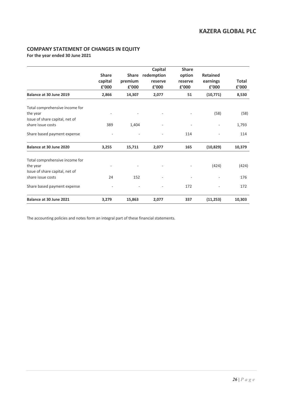### **COMPANY STATEMENT OF CHANGES IN EQUITY**

**For the year ended 30 June 2021**

|                                                                                                   | <b>Share</b><br>capital<br>£'000 | <b>Share</b><br>premium<br>£'000 | Capital<br>redemption<br>reserve<br>£'000 | <b>Share</b><br>option<br>reserve<br>£'000 | <b>Retained</b><br>earnings<br>£'000 | Total<br>£'000 |
|---------------------------------------------------------------------------------------------------|----------------------------------|----------------------------------|-------------------------------------------|--------------------------------------------|--------------------------------------|----------------|
| Balance at 30 June 2019                                                                           | 2,866                            | 14,307                           | 2,077                                     | 51                                         | (10, 771)                            | 8,530          |
| Total comprehensive income for<br>the year<br>Issue of share capital, net of                      |                                  |                                  |                                           |                                            | (58)                                 | (58)           |
| share issue costs                                                                                 | 389                              | 1,404                            |                                           |                                            |                                      | 1,793          |
| Share based payment expense                                                                       |                                  |                                  |                                           | 114                                        |                                      | 114            |
| Balance at 30 June 2020                                                                           | 3,255                            | 15,711                           | 2,077                                     | 165                                        | (10, 829)                            | 10,379         |
| Total comprehensive income for<br>the year<br>Issue of share capital, net of<br>share issue costs | 24                               | 152                              |                                           |                                            | (424)                                | (424)<br>176   |
| Share based payment expense                                                                       |                                  |                                  |                                           | 172                                        |                                      | 172            |
| Balance at 30 June 2021                                                                           | 3,279                            | 15,863                           | 2,077                                     | 337                                        | (11, 253)                            | 10,303         |

The accounting policies and notes form an integral part of these financial statements.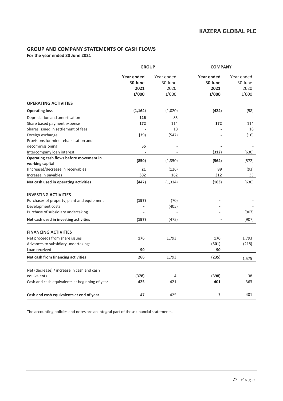### **GROUP AND COMPANY STATEMENTS OF CASH FLOWS**

**For the year ended 30 June 2021**

|                                                | <b>GROUP</b>                                  |                                                       | <b>COMPANY</b>                                |                                                |
|------------------------------------------------|-----------------------------------------------|-------------------------------------------------------|-----------------------------------------------|------------------------------------------------|
|                                                | <b>Year ended</b><br>30 June<br>2021<br>£'000 | Year ended<br>30 June<br>2020<br>$\rm{f}^{\prime}000$ | <b>Year ended</b><br>30 June<br>2021<br>£'000 | Year ended<br>30 June<br>2020<br>$\pounds'000$ |
| <b>OPERATING ACTIVITIES</b>                    |                                               |                                                       |                                               |                                                |
| <b>Operating loss</b>                          | (1, 164)                                      | (1,020)                                               | (424)                                         | (58)                                           |
| Depreciation and amortisation                  | 126                                           | 85                                                    |                                               |                                                |
| Share based payment expense                    | 172                                           | 114                                                   | 172                                           | 114                                            |
| Shares issued in settlement of fees            |                                               | 18                                                    |                                               | 18                                             |
| Foreign exchange                               | (39)                                          | (547)                                                 |                                               | (16)                                           |
| Provisions for mine rehabilitation and         |                                               |                                                       |                                               |                                                |
| decommissioning                                | 55                                            |                                                       | $\overline{\phantom{m}}$                      |                                                |
| Intercompany loan interest                     |                                               |                                                       | (312)                                         | (630)                                          |
| Operating cash flows before movement in        | (850)                                         | (1,350)                                               | (564)                                         | (572)                                          |
| working capital                                |                                               |                                                       |                                               |                                                |
| (Increase)/decrease in receivables             | 21                                            | (126)                                                 | 89                                            | (93)                                           |
| Increase in payables                           | 382                                           | 162                                                   | 312                                           | 35                                             |
| Net cash used in operating activities          | (447)                                         | (1, 314)                                              | (163)                                         | (630)                                          |
| <b>INVESTING ACTIVITIES</b>                    |                                               |                                                       |                                               |                                                |
| Purchases of property, plant and equipment     | (197)                                         | (70)                                                  |                                               |                                                |
| Development costs                              |                                               | (405)                                                 |                                               |                                                |
| Purchase of subsidiary undertaking             |                                               |                                                       |                                               | (907)                                          |
| Net cash used in investing activities          | (197)                                         | (475)                                                 |                                               | (907)                                          |
| <b>FINANCING ACTIVITIES</b>                    |                                               |                                                       |                                               |                                                |
| Net proceeds from share issues                 | 176                                           | 1,793                                                 | 176                                           | 1,793                                          |
| Advances to subsidiary undertakings            |                                               |                                                       | (501)                                         | (218)                                          |
| Loan received                                  | 90                                            |                                                       | 90                                            |                                                |
| Net cash from financing activities             | 266                                           | 1,793                                                 | (235)                                         | 1,575                                          |
|                                                |                                               |                                                       |                                               |                                                |
| Net (decrease) / increase in cash and cash     |                                               |                                                       |                                               |                                                |
| equivalents                                    | (378)                                         | 4                                                     | (398)                                         | 38                                             |
| Cash and cash equivalents at beginning of year | 425                                           | 421                                                   | 401                                           | 363                                            |
| Cash and cash equivalents at end of year       | 47                                            | 425                                                   | 3                                             | 401                                            |

The accounting policies and notes are an integral part of these financial statements.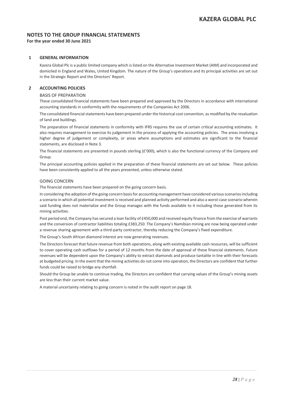### **NOTES TO THE GROUP FINANCIAL STATEMENTS**

**For the year ended 30 June 2021**

### **1 GENERAL INFORMATION**

Kazera Global Plc is a public limited company which is listed on the Alternative Investment Market (AIM) and incorporated and domiciled in England and Wales, United Kingdom. The nature of the Group's operations and its principal activities are set out in the Strategic Report and the Directors' Report.

### **2 ACCOUNTING POLICIES**

### BASIS OF PREPARATION

These consolidated financial statements have been prepared and approved by the Directors in accordance with international accounting standards in conformity with the requirements of the Companies Act 2006.

The consolidated financial statements have been prepared under the historical cost convention, as modified by the revaluation of land and buildings.

The preparation of financial statements in conformity with IFRS requires the use of certain critical accounting estimates. It also requires management to exercise its judgement in the process of applying the accounting policies. The areas involving a higher degree of judgement or complexity, or areas where assumptions and estimates are significant to the financial statements, are disclosed in Note 3.

The financial statements are presented in pounds sterling (£'000), which is also the functional currency of the Company and Group.

The principal accounting policies applied in the preparation of these financial statements are set out below. These policies have been consistently applied to all the years presented, unless otherwise stated.

### GOING CONCERN

The financial statements have been prepared on the going concern basis.

In considering the adoption of the going concern basis for accounting management have considered various scenarios including a scenario in which all potential investment is received and planned activity performed and also a worst-case scenario wherein said funding does not materialize and the Group manages with the funds available to it including those generated from its mining activities.

Post period end, the Company has secured a loan facility of £450,000 and received equity finance from the exercise of warrants and the conversion of contractor liabilities totaling £383,250. The Company's Namibian mining are now being operated under a revenue sharing agreement with a third-party contractor, thereby reducing the Company's fixed expenditure.

The Group's South African diamond interest are now generating revenues.

The Directors forecast that future revenue from both operations, along with existing available cash resources, will be sufficient to cover operating cash outflows for a period of 12 months from the date of approval of these financial statements. Future revenues will be dependent upon the Company's ability to extract diamonds and produce tantalite in line with their forecasts at budgeted pricing. In the event that the mining activities do not come into operation, the Directors are confident that further funds could be raised to bridge any shortfall.

Should the Group be unable to continue trading, the Directors are confident that carrying values of the Group's mining assets are less than their current market value.

A material uncertainty relating to going concern is noted in the audit report on page 18.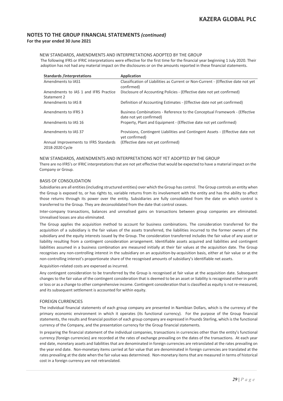### NEW STANDARDS, AMENDMENTS AND INTERPRETATIONS ADOPTED BY THE GROUP

The following IFRS or IFRIC interpretations were effective for the first time for the financial year beginning 1 July 2020. Their adoption has not had any material impact on the disclosures or on the amounts reported in these financial statements.

| <b>Standards /interpretations</b>                        | Application                                                                                           |
|----------------------------------------------------------|-------------------------------------------------------------------------------------------------------|
| Amendments to IAS1                                       | Classification of Liabilities as Current or Non-Current - (Effective date not yet<br>confirmed)       |
| Amendments to IAS 1 and IFRS Practice<br>Statement 2     | Disclosure of Accounting Policies - (Effective date not yet confirmed)                                |
| Amendments to IAS 8                                      | Definition of Accounting Estimates - (Effective date not yet confirmed)                               |
| Amendments to IFRS 3                                     | Business Combinations - Reference to the Conceptual Framework - (Effective<br>date not yet confirmed) |
| Amendments to IAS 16                                     | Property, Plant and Equipment - (Effective date not yet confirmed)                                    |
| Amendments to IAS 37                                     | Provisions, Contingent Liabilities and Contingent Assets - (Effective date not<br>yet confirmed)      |
| Annual Improvements to IFRS Standards<br>2018-2020 Cycle | (Effective date not yet confirmed)                                                                    |

#### NEW STANDARDS, AMENDMENTS AND INTERPRETATIONS NOT YET ADOPTED BY THE GROUP

There are no IFRS's or IFRIC interpretations that are not yet effective that would be expected to have a material impact on the Company or Group.

### BASIS OF CONSOLIDATION

Subsidiaries are all entities (including structured entities) over which the Group has control. The Group controls an entity when the Group is exposed to, or has rights to, variable returns from its involvement with the entity and has the ability to affect those returns through its power over the entity. Subsidiaries are fully consolidated from the date on which control is transferred to the Group. They are deconsolidated from the date that control ceases.

Inter-company transactions, balances and unrealised gains on transactions between group companies are eliminated. Unrealised losses are also eliminated.

The Group applies the acquisition method to account for business combinations. The consideration transferred for the acquisition of a subsidiary is the fair values of the assets transferred, the liabilities incurred to the former owners of the subsidiary and the equity interests issued by the Group. The consideration transferred includes the fair value of any asset or liability resulting from a contingent consideration arrangement. Identifiable assets acquired and liabilities and contingent liabilities assumed in a business combination are measured initially at their fair values at the acquisition date. The Group recognises any non-controlling interest in the subsidiary on an acquisition-by-acquisition basis, either at fair value or at the non-controlling interest's proportionate share of the recognised amounts of subsidiary's identifiable net assets.

Acquisition-related costs are expensed as incurred.

Any contingent consideration to be transferred by the Group is recognised at fair value at the acquisition date. Subsequent changes to the fair value of the contingent consideration that is deemed to be an asset or liability is recognised either in profit or loss or as a change to other comprehensive income. Contingent consideration that is classified as equity is not re-measured, and its subsequent settlement is accounted for within equity.

### FOREIGN CURRENCIES

The individual financial statements of each group company are presented in Namibian Dollars, which is the currency of the primary economic environment in which it operates (its functional currency). For the purpose of the Group financial statements, the results and financial position of each group company are expressed in Pounds Sterling, which is the functional currency of the Company, and the presentation currency for the Group financial statements.

In preparing the financial statement of the individual companies, transactions in currencies other than the entity's functional currency (foreign currencies) are recorded at the rates of exchange prevailing on the dates of the transactions. At each year end date, monetary assets and liabilities that are denominated in foreign currencies are retranslated at the rates prevailing on the year end date. Non-monetary items carried at fair value that are denominated in foreign currencies are translated at the rates prevailing at the date when the fair value was determined. Non-monetary items that are measured in terms of historical cost in a foreign currency are not retranslated.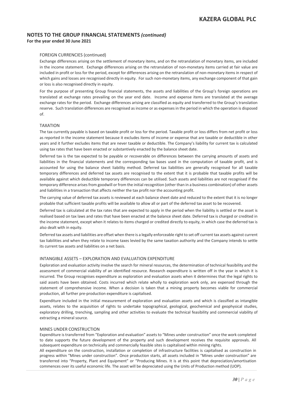### FOREIGN CURRENCIES (continued)

Exchange differences arising on the settlement of monetary items, and on the retranslation of monetary items, are included in the income statement. Exchange differences arising on the retranslation of non-monetary items carried at fair value are included in profit or loss for the period, except for differences arising on the retranslation of non-monetary items in respect of which gains and losses are recognised directly in equity. For such non-monetary items, any exchange component of that gain or loss is also recognised directly in equity.

For the purpose of presenting Group financial statements, the assets and liabilities of the Group's foreign operations are translated at exchange rates prevailing on the year end date. Income and expense items are translated at the average exchange rates for the period. Exchange differences arising are classified as equity and transferred to the Group's translation reserve. Such translation differences are recognised as income or as expenses in the period in which the operation is disposed of.

### TAXATION

The tax currently payable is based on taxable profit or loss for the period. Taxable profit or loss differs from net profit or loss as reported in the income statement because it excludes items of income or expense that are taxable or deductible in other years and it further excludes items that are never taxable or deductible. The Company's liability for current tax is calculated using tax rates that have been enacted or substantively enacted by the balance sheet date.

Deferred tax is the tax expected to be payable or recoverable on differences between the carrying amounts of assets and liabilities in the financial statements and the corresponding tax bases used in the computation of taxable profit, and is accounted for using the balance sheet liability method. Deferred tax liabilities are generally recognised for all taxable temporary differences and deferred tax assets are recognised to the extent that it is probable that taxable profits will be available against which deductible temporary differences can be utilised. Such assets and liabilities are not recognised if the temporary difference arises from goodwill or from the initial recognition (other than in a business combination) of other assets and liabilities in a transaction that affects neither the tax profit nor the accounting profit.

The carrying value of deferred tax assets is reviewed at each balance sheet date and reduced to the extent that it is no longer probable that sufficient taxable profits will be available to allow all or part of the deferred tax asset to be recovered.

Deferred tax is calculated at the tax rates that are expected to apply in the period when the liability is settled or the asset is realised based on tax laws and rates that have been enacted at the balance sheet date. Deferred tax is charged or credited in the income statement, except when it relates to items charged or credited directly to equity, in which case the deferred tax is also dealt with in equity.

Deferred tax assets and liabilities are offset when there is a legally enforceable right to set off current tax assets against current tax liabilities and when they relate to income taxes levied by the same taxation authority and the Company intends to settle its current tax assets and liabilities on a net basis.

### INTANGIBLE ASSETS – EXPLORATION AND EVALUATION EXPENDITURE

Exploration and evaluation activity involve the search for mineral resources, the determination of technical feasibility and the assessment of commercial viability of an identified resource. Research expenditure is written off in the year in which it is incurred. The Group recognises expenditure as exploration and evaluation assets when it determines that the legal rights to said assets have been obtained. Costs incurred which relate wholly to exploration work only, are expensed through the statement of comprehensive income. When a decision is taken that a mining property becomes viable for commercial production, all further pre-production expenditure is capitalised.

Expenditure included in the initial measurement of exploration and evaluation assets and which is classified as intangible assets, relates to the acquisition of rights to undertake topographical, geological, geochemical and geophysical studies, exploratory drilling, trenching, sampling and other activities to evaluate the technical feasibility and commercial viability of extracting a mineral source.

#### MINES UNDER CONSTRUCTION

Expenditure is transferred from "Exploration and evaluation" assets to "Mines under construction" once the work completed to date supports the future development of the property and such development receives the requisite approvals. All subsequent expenditure on technically and commercially feasible sites is capitalised within mining rights.

All expenditure on the construction, installation or completion of infrastructure facilities is capitalised as construction in progress within "Mines under construction". Once production starts, all assets included in "Mines under construction" are transferred into "Property, Plant and Equipment" or "Producing Mines. It is at this point that depreciation/amortisation commences over its useful economic life. The asset will be depreciated using the Units of Production method (UOP).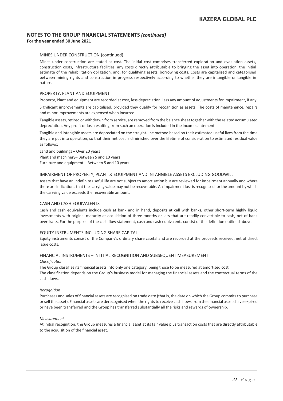### MINES UNDER CONSTRUCTION (continued)

Mines under construction are stated at cost. The initial cost comprises transferred exploration and evaluation assets, construction costs, infrastructure facilities, any costs directly attributable to bringing the asset into operation, the initial estimate of the rehabilitation obligation, and, for qualifying assets, borrowing costs. Costs are capitalised and categorised between mining rights and construction in progress respectively according to whether they are intangible or tangible in nature.

#### PROPERTY, PLANT AND EQUIPMENT

Property, Plant and equipment are recorded at cost, less depreciation, less any amount of adjustments for impairment, if any.

Significant improvements are capitalised, provided they qualify for recognition as assets. The costs of maintenance, repairs and minor improvements are expensed when incurred.

Tangible assets, retired or withdrawn from service, are removed from the balance sheet together with the related accumulated depreciation. Any profit or loss resulting from such an operation is included in the income statement.

Tangible and intangible assets are depreciated on the straight-line method based on their estimated useful lives from the time they are put into operation, so that their net cost is diminished over the lifetime of consideration to estimated residual value as follows:

Land and buildings – Over 20 years Plant and machinery– Between 5 and 10 years Furniture and equipment – Between 5 and 10 years

### IMPAIRMENT OF PROPERTY, PLANT & EQUIPMENT AND INTANGIBLE ASSETS EXCLUDING GOODWILL

Assets that have an indefinite useful life are not subject to amortisation but are reviewed for impairment annually and where there are indications that the carrying value may not be recoverable. An impairment loss is recognised for the amount by which the carrying value exceeds the recoverable amount.

#### CASH AND CASH EQUIVALENTS

Cash and cash equivalents include cash at bank and in hand, deposits at call with banks, other short-term highly liquid investments with original maturity at acquisition of three months or less that are readily convertible to cash, net of bank overdrafts. For the purpose of the cash flow statement, cash and cash equivalents consist of the definition outlined above.

### EQUITY INSTRUMENTS INCLUDING SHARE CAPITAL

Equity instruments consist of the Company's ordinary share capital and are recorded at the proceeds received, net of direct issue costs.

### FINANCIAL INSTRUMENTS – INTITIAL RECOGNITION AND SUBSEQUENT MEASUREMENT

*Classification* 

The Group classifies its financial assets into only one category, being those to be measured at amortised cost. The classification depends on the Group's business model for managing the financial assets and the contractual terms of the cash flows.

*Recognition* 

Purchases and sales of financial assets are recognised on trade date (that is, the date on which the Group commits to purchase or sell the asset). Financial assets are derecognised when the rights to receive cash flows from the financial assets have expired or have been transferred and the Group has transferred substantially all the risks and rewards of ownership.

#### *Measurement*

At initial recognition, the Group measures a financial asset at its fair value plus transaction costs that are directly attributable to the acquisition of the financial asset.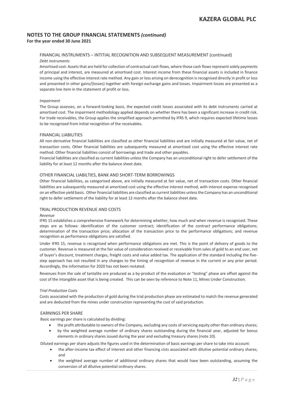### FINANCIAL INSTRUMENTS – INTITIAL RECOGNITION AND SUBSEQUENT MEASUREMENT (continued) *Debt instruments*

Amortised cost: Assets that are held for collection of contractual cash flows, where those cash flows represent solely payments of principal and interest, are measured at amortised cost. Interest income from these financial assets is included in finance income using the effective interest rate method. Any gain or loss arising on derecognition is recognised directly in profit or loss and presented in other gains/(losses) together with foreign exchange gains and losses. Impairment losses are presented as a separate line item in the statement of profit or loss.

### *Impairment*

The Group assesses, on a forward-looking basis, the expected credit losses associated with its debt instruments carried at amortised cost. The impairment methodology applied depends on whether there has been a significant increase in credit risk. For trade receivables, the Group applies the simplified approach permitted by IFRS 9, which requires expected lifetime losses to be recognised from initial recognition of the receivables.

### FINANCIAL LIABILITIES

All non-derivative financial liabilities are classified as other financial liabilities and are initially measured at fair value, net of transaction costs. Other financial liabilities are subsequently measured at amortised cost using the effective interest rate method. Other financial liabilities consist of borrowings and trade and other payables.

Financial liabilities are classified as current liabilities unless the Company has an unconditional right to defer settlement of the liability for at least 12 months after the balance sheet date.

### OTHER FINANCIAL LIABILTIES, BANK AND SHORT-TERM BORROWINGS

Other financial liabilities, as categorised above, are initially measured at fair value, net of transaction costs. Other financial liabilities are subsequently measured at amortised cost using the effective interest method, with interest expense recognised on an effective yield basis. Other financial liabilities are classified as current liabilities unless the Company has an unconditional right to defer settlement of the liability for at least 12 months after the balance sheet date.

### TRIAL PRODUCTION REVENUE AND COSTS

#### *Revenue*

IFRS 15 establishes a comprehensive framework for determining whether, how much and when revenue is recognised. These steps are as follows: identification of the customer contract; identification of the contract performance obligations; determination of the transaction price; allocation of the transaction price to the performance obligations; and revenue recognition as performance obligations are satisfied.

Under IFRS 15, revenue is recognised when performance obligations are met. This is the point of delivery of goods to the customer. Revenue is measured at the fair value of consideration received or receivable from sales of gold to an end user, net of buyer's discount, treatment charges, freight costs and value added tax. The application of the standard including the fivestep approach has not resulted in any changes to the timing of recognition of revenue in the current or any prior period. Accordingly, the information for 2020 has not been restated.

Revenues from the sale of tantalite ore produced as a by-product of the evaluation or "testing" phase are offset against the cost of the intangible asset that is being created. This can be seen by reference to Note 11, Mines Under Construction.

#### *Trial Production Costs*

Costs associated with the production of gold during the trial production phase are estimated to match the revenue generated and are deducted from the mines under construction representing the cost of said production.

### EARNINGS PER SHARE

Basic earnings per share is calculated by dividing:

- the profit attributable to owners of the Company, excluding any costs of servicing equity other than ordinary shares;
- by the weighted average number of ordinary shares outstanding during the financial year, adjusted for bonus elements in ordinary shares issued during the year and excluding treasury shares (note 10).

Diluted earnings per share adjusts the figures used in the determination of basic earnings per share to take into account:

- the after-income tax effect of interest and other financing cists associated with dilutive potential ordinary shares; and
- the weighted average number of additional ordinary shares that would have been outstanding, assuming the conversion of all dilutive potential ordinary shares.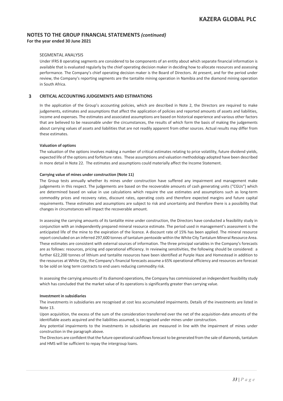### SEGMENTAL ANALYSIS

Under IFRS 8 operating segments are considered to be components of an entity about which separate financial information is available that is evaluated regularly by the chief operating decision maker in deciding how to allocate resources and assessing performance. The Company's chief operating decision maker is the Board of Directors. At present, and for the period under review, the Company's reporting segments are the tantalite mining operation in Namibia and the diamond mining operation in South Africa.

### **3 CRITICAL ACCOUNTING JUDGEMENTS AND ESTIMATIONS**

In the application of the Group's accounting policies, which are described in Note 2, the Directors are required to make judgements, estimates and assumptions that affect the application of policies and reported amounts of assets and liabilities, income and expenses. The estimates and associated assumptions are based on historical experience and various other factors that are believed to be reasonable under the circumstances, the results of which form the basis of making the judgements about carrying values of assets and liabilities that are not readily apparent from other sources. Actual results may differ from these estimates.

#### **Valuation of options**

The valuation of the options involves making a number of critical estimates relating to price volatility, future dividend yields, expected life of the options and forfeiture rates. These assumptions and valuation methodology adopted have been described in more detail in Note 22. The estimates and assumptions could materially affect the Income Statement.

#### **Carrying value of mines under construction (Note 11)**

The Group tests annually whether its mines under construction have suffered any impairment and management make judgements in this respect. The judgements are based on the recoverable amounts of cash generating units ("CGUs") which are determined based on value in use calculations which require the use estimates and assumptions such as long-term commodity prices and recovery rates, discount rates, operating costs and therefore expected margins and future capital requirements. These estimates and assumptions are subject to risk and uncertainty and therefore there is a possibility that changes in circumstances will impact the recoverable amount.

In assessing the carrying amounts of its tantalite mine under construction, the Directors have conducted a feasibility study in conjunction with an independently prepared mineral resource estimate. The period used in management's assessment is the anticipated life of the mine to the expiration of the licence. A discount rate of 15% has been applied. The mineral resource report concluded on an inferred 297,600 tonnes of tantalum pentoxide within the White City Tantalum Mineral Resource Area. These estimates are consistent with external sources of information. The three principal variables in the Company's forecasts are as follows: resources, pricing and operational efficiency. In reviewing sensitivities, the following should be considered: a further 622,200 tonnes of lithium and tantalite resources have been identified at Purple Haze and Homestead in addition to the resources at White City, the Company's financial forecasts assume a 65% operational efficiency and resources are forecast to be sold on long term contracts to end users reducing commodity risk.

In assessing the carrying amounts of its diamond operations, the Company has commissioned an independent feasibility study which has concluded that the market value of its operations is significantly greater than carrying value.

#### **Investment in subsidiaries**

The investments in subsidiaries are recognised at cost less accumulated impairments. Details of the investments are listed in Note 13.

Upon acquisition, the excess of the sum of the consideration transferred over the net of the acquisition-date amounts of the identifiable assets acquired and the liabilities assumed, is recognised under mines under construction.

Any potential impairments to the investments in subsidiaries are measured in line with the impairment of mines under construction in the paragraph above.

The Directors are confident that the future operational cashflows forecast to be generated from the sale of diamonds, tantalum and HMS will be sufficient to repay the intergroup loans.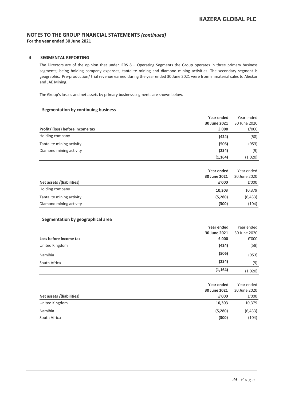### **4 SEGMENTAL REPORTING**

The Directors are of the opinion that under IFRS 8 – Operating Segments the Group operates in three primary business segments; being holding company expenses, tantalite mining and diamond mining activities. The secondary segment is geographic. Pre-production/ trial revenue earned during the year ended 30 June 2021 were from immaterial sales to Alexkor and JAE Mining.

The Group's losses and net assets by primary business segments are shown below.

### **Segmentation by continuing business**

|                                  | Year ended   | Year ended   |
|----------------------------------|--------------|--------------|
|                                  | 30 June 2021 | 30 June 2020 |
| Profit/ (loss) before income tax | £'000        | £'000        |
| Holding company                  | (424)        | (58)         |
| Tantalite mining activity        | (506)        | (953)        |
| Diamond mining activity          | (234)        | (9)          |
|                                  | (1, 164)     | (1,020)      |

| Net assets /(liabilities) | Year ended<br>30 June 2021<br>£'000 | Year ended<br>30 June 2020<br>£'000 |
|---------------------------|-------------------------------------|-------------------------------------|
| Holding company           | 10,303                              | 10,379                              |
| Tantalite mining activity | (5,280)                             | (6, 433)                            |
| Diamond mining activity   | (300)                               | (104)                               |

### **Segmentation by geographical area**

|                        | Year ended   | Year ended   |
|------------------------|--------------|--------------|
|                        | 30 June 2021 | 30 June 2020 |
| Loss before income tax | £'000        | £'000        |
| United Kingdom         | (424)        | (58)         |
| Namibia                | (506)        | (953)        |
| South Africa           | (234)        | (9)          |
|                        | (1, 164)     | (1,020)      |

|                           | Year ended   | Year ended   |
|---------------------------|--------------|--------------|
|                           | 30 June 2021 | 30 June 2020 |
| Net assets /(liabilities) | £'000        | £'000        |
| United Kingdom            | 10,303       | 10,379       |
| Namibia                   | (5,280)      | (6, 433)     |
| South Africa              | (300)        | (104)        |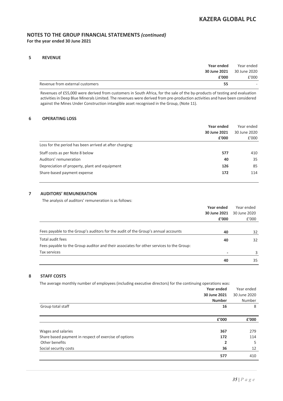### **5 REVENUE**

| Year ended                      |    | Year ended   |
|---------------------------------|----|--------------|
| 30 June 2021                    |    | 30 June 2020 |
| £'000                           |    | £'000        |
| Revenue from external customers | 55 | $\equiv$     |

Revenues of £55,000 were derived from customers in South Africa, for the sale of the by-products of testing and evaluation activities in Deep Blue Minerals Limited. The revenues were derived from pre-production activities and have been considered against the Mines Under Construction intangible asset recognised in the Group, (Note 11).

### **6 OPERATING LOSS**

|                                                         | Year ended   | Year ended   |
|---------------------------------------------------------|--------------|--------------|
|                                                         | 30 June 2021 | 30 June 2020 |
|                                                         | £'000        | £'000        |
| Loss for the period has been arrived at after charging: |              |              |
| Staff costs as per Note 8 below                         | 577          | 410          |
| Auditors' remuneration                                  | 40           | 35           |
| Depreciation of property, plant and equipment           | 126          | 85           |
| Share-based payment expense                             | 172          | 114          |

### **7 AUDITORS' REMUNERATION**

The analysis of auditors' remuneration is as follows:

|                                                                                         | Year ended   | Year ended   |
|-----------------------------------------------------------------------------------------|--------------|--------------|
|                                                                                         | 30 June 2021 | 30 June 2020 |
|                                                                                         | £'000        | f'000        |
|                                                                                         |              |              |
| Fees payable to the Group's auditors for the audit of the Group's annual accounts       | 40           | 32           |
| Total audit fees                                                                        | 40           | 32           |
| Fees payable to the Group auditor and their associates for other services to the Group: |              |              |
| Tax services                                                                            |              | 3            |
|                                                                                         | 40           | 35           |

### **8 STAFF COSTS**

The average monthly number of employees (including executive directors) for the continuing operations was:

|                                                       | <b>Year ended</b> | Year ended   |
|-------------------------------------------------------|-------------------|--------------|
|                                                       | 30 June 2021      | 30 June 2020 |
|                                                       | <b>Number</b>     | Number       |
| Group total staff                                     | 16                | 8            |
|                                                       |                   |              |
|                                                       | £'000             | £'000        |
|                                                       |                   |              |
| Wages and salaries                                    | 367               | 279          |
| Share based payment in respect of exercise of options | 172               | 114          |
| Other benefits                                        | 2                 | 5            |
| Social security costs                                 | 36                | 12           |
|                                                       | 577               | 410          |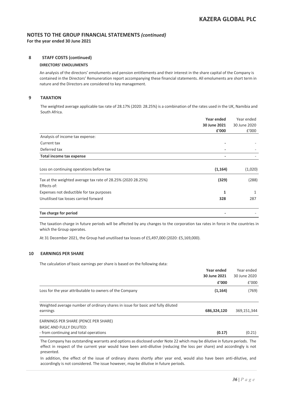### **8 STAFF COSTS (continued)**

### **DIRECTORS' EMOLUMENTS**

An analysis of the directors' emoluments and pension entitlements and their interest in the share capital of the Company is contained in the Directors' Remuneration report accompanying these financial statements. All emoluments are short term in nature and the Directors are considered to key management.

### **9 TAXATION**

The weighted average applicable tax rate of 28.17% (2020: 28.25%) is a combination of the rates used in the UK, Namibia and South Africa.

|                                                              | Year ended   | Year ended   |
|--------------------------------------------------------------|--------------|--------------|
|                                                              | 30 June 2021 | 30 June 2020 |
|                                                              | £'000        | £'000        |
| Analysis of income tax expense:                              |              |              |
| Current tax                                                  |              |              |
| Deferred tax                                                 | ٠            |              |
| Total income tax expense                                     | ٠            |              |
|                                                              |              |              |
| Loss on continuing operations before tax                     | (1, 164)     | (1,020)      |
| Tax at the weighted average tax rate of 28.25% (2020 28.25%) | (329)        | (288)        |
| Effects of:                                                  |              |              |
| Expenses not deductible for tax purposes                     | 1            | 1            |
| Unutilised tax losses carried forward                        | 328          | 287          |
| Tax charge for period                                        |              |              |

The taxation charge in future periods will be affected by any changes to the corporation tax rates in force in the countries in which the Group operates.

At 31 December 2021, the Group had unutilised tax losses of £5,497,000 (2020: £5,169,000).

### **10 EARNINGS PER SHARE**

The calculation of basic earnings per share is based on the following data:

|                                                                                 | Year ended   | Year ended   |
|---------------------------------------------------------------------------------|--------------|--------------|
|                                                                                 | 30 June 2021 | 30 June 2020 |
|                                                                                 | £'000        | f'000        |
| Loss for the year attributable to owners of the Company                         | (1, 164)     | (769)        |
|                                                                                 |              |              |
| Weighted average number of ordinary shares in issue for basic and fully diluted |              |              |
| earnings                                                                        | 686,324,120  | 369,151,344  |
| EARNINGS PER SHARE (PENCE PER SHARE)                                            |              |              |
| <b>BASIC AND FULLY DILUTED:</b>                                                 |              |              |
| - from continuing and total operations                                          | (0.17)       | (0.21)       |

The Company has outstanding warrants and options as disclosed under Note 22 which may be dilutive in future periods. The effect in respect of the current year would have been anti-dilutive (reducing the loss per share) and accordingly is not presented.

In addition, the effect of the issue of ordinary shares shortly after year end, would also have been anti-dilutive, and accordingly is not considered. The issue however, may be dilutive in future periods.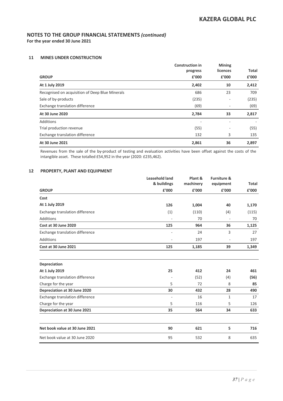### **11 MINES UNDER CONSTRUCTION**

|                                                 | <b>Construction in</b><br>progress | <b>Mining</b><br>licences | Total |  |
|-------------------------------------------------|------------------------------------|---------------------------|-------|--|
| <b>GROUP</b>                                    | f'000                              | £'000                     | £'000 |  |
| At 1 July 2019                                  | 2,402                              | 10                        | 2,412 |  |
| Recognised on acquisition of Deep Blue Minerals | 686                                | 23                        | 709   |  |
| Sale of by-products                             | (235)                              |                           | (235) |  |
| Exchange translation difference                 | (69)                               |                           | (69)  |  |
| At 30 June 2020                                 | 2,784                              | 33                        | 2,817 |  |
| Additions                                       | ٠                                  |                           |       |  |
| Trial production revenue                        | (55)                               |                           | (55)  |  |
| Exchange translation difference                 | 132                                | 3                         | 135   |  |
| At 30 June 2021                                 | 2,861                              | 36                        | 2,897 |  |

Revenues from the sale of the by-product of testing and evaluation activities have been offset against the costs of the intangible asset. These totalled £54,952 in the year (2020: £235,462).

### **12 PROPERTY, PLANT AND EQUIPMENT**

|                                 | <b>Leasehold land</b> | Plant &   | <b>Furniture &amp;</b> |              |
|---------------------------------|-----------------------|-----------|------------------------|--------------|
|                                 | & buildings           | machinery | equipment              | <b>Total</b> |
| <b>GROUP</b>                    | £'000                 | £'000     | £'000                  | £'000        |
| Cost                            |                       |           |                        |              |
| At 1 July 2019                  | 126                   | 1,004     | 40                     | 1,170        |
| Exchange translation difference | (1)                   | (110)     | (4)                    | (115)        |
| Additions                       |                       | 70        |                        | 70           |
| Cost at 30 June 2020            | 125                   | 964       | 36                     | 1,125        |
| Exchange translation difference |                       | 24        | 3                      | 27           |
| Additions                       |                       | 197       |                        | 197          |
| <b>Cost at 30 June 2021</b>     | 125                   | 1,185     | 39                     | 1,349        |
| Depreciation                    |                       |           |                        |              |
| At 1 July 2019                  | 25                    | 412       | 24                     | 461          |
| Exchange translation difference |                       | (52)      | (4)                    | (56)         |
| Charge for the year             | 5                     | 72        | 8                      | 85           |
| Depreciation at 30 June 2020    | 30                    | 432       | 28                     | 490          |
| Exchange translation difference | ÷                     | 16        | $\mathbf{1}$           | 17           |
| Charge for the year             | 5                     | 116       | 5                      | 126          |
| Depreciation at 30 June 2021    | 35                    | 564       | 34                     | 633          |
| Net book value at 30 June 2021  | 90                    | 621       | 5                      | 716          |
| Net book value at 30 June 2020  | 95                    | 532       | 8                      | 635          |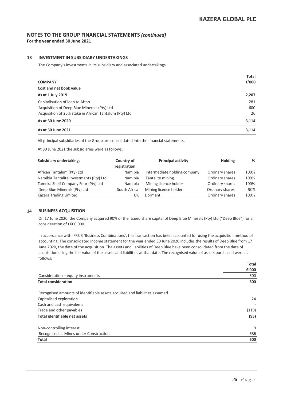### **13 INVESTMENT IN SUBSIDIARY UNDERTAKINGS**

The Company's investments in its subsidiary and associated undertakings

|                                                        | <b>Total</b> |
|--------------------------------------------------------|--------------|
| <b>COMPANY</b>                                         | £'000        |
| Cost and net book value                                |              |
| As at 1 July 2019                                      | 2,207        |
| Capitalisation of loan to Aftan                        | 281          |
| Acquisition of Deep Blue Minerals (Pty) Ltd            | 600          |
| Acquisition of 25% stake in African Tantalum (Pty) Ltd | 26           |
| As at 30 June 2020                                     | 3,114        |
| As at 30 June 2021                                     | 3,114        |

All principal subsidiaries of the Group are consolidated into the financial statements.

At 30 June 2021 the subsidiaries were as follows:

| <b>Subsidiary undertakings</b>          | Country of<br>registration | <b>Principal activity</b>    | <b>Holding</b>  | %    |
|-----------------------------------------|----------------------------|------------------------------|-----------------|------|
| African Tantalum (Pty) Ltd              | Namibia                    | Intermediate holding company | Ordinary shares | 100% |
| Namibia Tantalite Investments (Pty) Ltd | Namibia                    | Tantalite mining             | Ordinary shares | 100% |
| Tameka Shelf Company Four (Pty) Ltd     | Namibia                    | Mining licence holder        | Ordinary shares | 100% |
| Deep Blue Minerals (Pty) Ltd            | South Africa               | Mining licence holder        | Ordinary shares | 90%  |
| Kazera Trading Limited                  | UK                         | Dormant                      | Ordinary shares | 100% |

### **14 BUSINESS ACQUISITION**

On 17 June 2020, the Company acquired 90% of the issued share capital of Deep Blue Minerals (Pty) Ltd ("Deep Blue") for a consideration of £600,000.

In accordance with IFRS 3 'Business Combinations', this transaction has been accounted for using the acquisition method of accounting. The consolidated income statement for the year ended 30 June 2020 includes the results of Deep Blue from 17 June 2020, the date of the acquisition. The assets and liabilities of Deep Blue have been consolidated from the date of acquisition using the fair value of the assets and liabilities at that date. The recognised value of assets purchased were as follows:

|                                                                            | Total |
|----------------------------------------------------------------------------|-------|
|                                                                            | £'000 |
| Consideration – equity instruments                                         | 600   |
| <b>Total consideration</b>                                                 | 600   |
| Recognised amounts of identifiable assets acquired and liabilities assumed |       |
| Capitalised exploration                                                    | 24    |
| Cash and cash equivalents                                                  |       |
| Trade and other payables                                                   | (119) |
| Total identifiable net assets                                              | (95)  |
| Non-controlling interest                                                   | 9     |
| Recognised as Mines under Construction                                     | 686   |
| <b>Total</b>                                                               | 600   |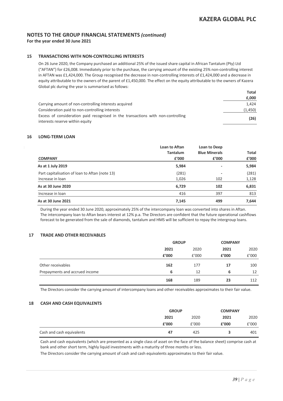**For the year ended 30 June 2021**

### **15 TRANSACTIONS WITH NON-CONTROLLING INTERESTS**

On 26 June 2020, the Company purchased an additional 25% of the issued share capital in African Tantalum (Pty) Ltd ("AFTAN") for £26,008. Immediately prior to the purchase, the carrying amount of the existing 25% non-controlling interest in AFTAN was £1,424,000. The Group recognised the decrease in non-controlling interests of £1,424,000 and a decrease in equity attributable to the owners of the parent of £1,450,000. The effect on the equity attributable to the owners of Kazera Global plc during the year is summarised as follows:

|                                                                                  | Total   |
|----------------------------------------------------------------------------------|---------|
|                                                                                  | £,000   |
| Carrying amount of non-controlling interests acquired                            | 1.424   |
| Consideration paid to non-controlling interests                                  | (1,450) |
| Excess of consideration paid recognised in the transactions with non-controlling | (26)    |
| interests reserve within equity                                                  |         |

### **16 LONG-TERM LOAN**

|                                                | Loan to Aftan   | Loan to Deep             |              |
|------------------------------------------------|-----------------|--------------------------|--------------|
|                                                | <b>Tantalum</b> | <b>Blue Minerals</b>     | <b>Total</b> |
| <b>COMPANY</b>                                 | £'000           | £'000                    | £'000        |
| As at 1 July 2019                              | 5,984           | $\overline{\phantom{a}}$ | 5,984        |
| Part capitalisation of loan to Aftan (note 13) | (281)           | ٠                        | (281)        |
| Increase in loan                               | 1,026           | 102                      | 1,128        |
| As at 30 June 2020                             | 6,729           | 102                      | 6,831        |
| Increase in Ioan                               | 416             | 397                      | 813          |
| As at 30 June 2021                             | 7,145           | 499                      | 7,644        |

During the year ended 30 June 2020, approximately 25% of the intercompany loan was converted into shares in Aftan. The intercompany loan to Aftan bears interest at 12% p.a. The Directors are confident that the future operational cashflows forecast to be generated from the sale of diamonds, tantalum and HMS will be sufficient to repay the intergroup loans.

### **17 TRADE AND OTHER RECEIVABLES**

|                                | <b>GROUP</b> |       |       | <b>COMPANY</b> |  |
|--------------------------------|--------------|-------|-------|----------------|--|
|                                | 2021         | 2020  | 2021  | 2020           |  |
|                                | £'000        | £'000 | £'000 | £'000          |  |
| Other receivables              | 162          | 177   | 17    | 100            |  |
| Prepayments and accrued income | 6            | 12    | 6     | 12             |  |
|                                | 168          | 189   | 23    | 112            |  |

The Directors consider the carrying amount of intercompany loans and other receivables approximates to their fair value.

#### **18 CASH AND CASH EQUIVALENTS**

|                           | <b>GROUP</b> |       |       | <b>COMPANY</b> |  |
|---------------------------|--------------|-------|-------|----------------|--|
|                           | 2021         | 2020  | 2021  | 2020           |  |
|                           | £'000        | f'000 | f'000 | £'000          |  |
| Cash and cash equivalents | 47           | 425   |       | 401            |  |

Cash and cash equivalents (which are presented as a single class of asset on the face of the balance sheet) comprise cash at bank and other short term, highly liquid investments with a maturity of three months or less.

The Directors consider the carrying amount of cash and cash equivalents approximates to their fair value.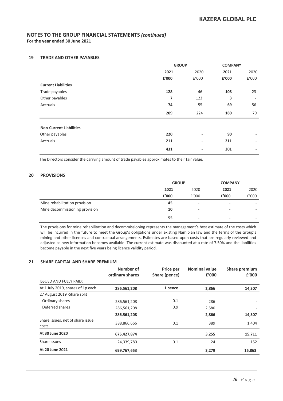### **19 TRADE AND OTHER PAYABLES**

|                                | <b>GROUP</b> |                          | <b>COMPANY</b> |       |
|--------------------------------|--------------|--------------------------|----------------|-------|
|                                | 2021         | 2020                     | 2021           | 2020  |
|                                | £'000        | £'000                    | £'000          | £'000 |
| <b>Current Liabilities</b>     |              |                          |                |       |
| Trade payables                 | 128          | 46                       | 108            | 23    |
| Other payables                 | 7            | 123                      | 3              |       |
| Accruals                       | 74           | 55                       | 69             | 56    |
|                                | 209          | 224                      | 180            | 79    |
| <b>Non-Current Liabilities</b> |              |                          |                |       |
| Other payables                 | 220          | -                        | 90             |       |
| Accruals                       | 211          | $\overline{\phantom{0}}$ | 211            | ٠     |
|                                | 431          | $\overline{\phantom{0}}$ | 301            |       |

The Directors consider the carrying amount of trade payables approximates to their fair value.

### **20 PROVISIONS**

|                                | <b>GROUP</b> |                          | <b>COMPANY</b>           |       |
|--------------------------------|--------------|--------------------------|--------------------------|-------|
|                                | 2021         | 2020                     | 2021                     | 2020  |
|                                | £'000        | f'000                    | £'000                    | £'000 |
| Mine rehabilitation provision  | 45           | ٠                        | -                        |       |
| Mine decommissioning provision | 10           | ٠                        | -                        | ۰     |
|                                | 55           | $\overline{\phantom{a}}$ | $\overline{\phantom{0}}$ | -     |

The provisions for mine rehabilitation and decommissioning represents the management's best estimate of the costs which will be incurred in the future to meet the Group's obligations under existing Namibian law and the terms of the Group's mining and other licences and contractual arrangements. Estimates are based upon costs that are regularly reviewed and adjusted as new information becomes available. The current estimate was discounted at a rate of 7.50% and the liabilities become payable in the next five years being licence validity period.

### **21 SHARE CAPITAL AND SHARE PREMIUM**

|                                           | Number of<br>ordinary shares | Price per<br>Share (pence) | <b>Nominal value</b><br>£'000 | Share premium<br>£'000 |
|-------------------------------------------|------------------------------|----------------------------|-------------------------------|------------------------|
| <b>ISSUED AND FULLY PAID:</b>             |                              |                            |                               |                        |
| At 1 July 2019, shares of 1p each         | 286,561,208                  | 1 pence                    | 2,866                         | 14,307                 |
| 27 August 2019 - Share split              |                              |                            |                               |                        |
| Ordinary shares                           | 286,561,208                  | 0.1                        | 286                           |                        |
| Deferred shares                           | 286,561,208                  | 0.9                        | 2,580                         |                        |
|                                           | 286,561,208                  |                            | 2,866                         | 14,307                 |
| Share issues, net of share issue<br>costs | 388,866,666                  | 0.1                        | 389                           | 1,404                  |
| At 30 June 2020                           | 675,427,874                  |                            | 3,255                         | 15,711                 |
| Share issues                              | 24,339,780                   | 0.1                        | 24                            | 152                    |
| At 20 June 2021                           | 699,767,653                  |                            | 3,279                         | 15,863                 |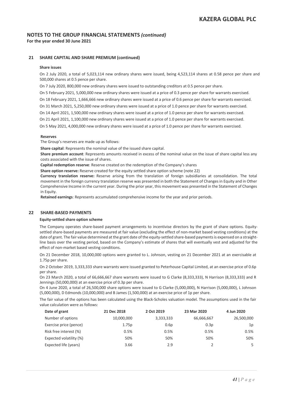### **21 SHARE CAPITAL AND SHARE PREMIUM (continued)**

### **Share issues**

On 2 July 2020, a total of 5,023,114 new ordinary shares were issued, being 4,523,114 shares at 0.58 pence per share and 500,000 shares at 0.5 pence per share.

On 7 July 2020, 800,000 new ordinary shares were issued to outstanding creditors at 0.5 pence per share.

On 5 February 2021, 5,000,000 new ordinary shares were issued at a price of 0.3 pence per share for warrants exercised.

On 18 February 2021, 1,666,666 new ordinary shares were issued at a price of 0.6 pence per share for warrants exercised.

On 31 March 2021, 5,250,000 new ordinary shares were issued at a price of 1.0 pence per share for warrants exercised.

On 14 April 2021, 1,500,000 new ordinary shares were issued at a price of 1.0 pence per share for warrants exercised.

On 21 April 2021, 1,100,000 new ordinary shares were issued at a price of 1.0 pence per share for warrants exercised.

On 5 May 2021, 4,000,000 new ordinary shares were issued at a price of 1.0 pence per share for warrants exercised.

#### **Reserves**

The Group's reserves are made up as follows:

**Share capital**: Represents the nominal value of the issued share capital.

**Share premium account**: Represents amounts received in excess of the nominal value on the issue of share capital less any costs associated with the issue of shares.

**Capital redemption reserve**: Reserve created on the redemption of the Company's shares

**Share option reserve:** Reserve created for the equity settled share option scheme (note 22)

**Currency translation reserve:** Reserve arising from the translation of foreign subsidiaries at consolidation. The total movement in the foreign currency translation reserve was presented in both the Statement of Changes in Equity and in Other Comprehensive Income in the current year. During the prior year, this movement was presented in the Statement of Changes in Equity.

**Retained earnings**: Represents accumulated comprehensive income for the year and prior periods.

### **22 SHARE-BASED PAYMENTS**

#### **Equity-settled share option scheme**

The Company operates share-based payment arrangements to incentivise directors by the grant of share options. Equitysettled share-based payments are measured at fair value (excluding the effect of non-market based vesting conditions) at the date of grant. The fair value determined at the grant date of the equity-settled share-based payments is expensed on a straightline basis over the vesting period, based on the Company's estimate of shares that will eventually vest and adjusted for the effect of non-market based vesting conditions.

On 21 December 2018, 10,000,000 options were granted to L. Johnson, vesting on 21 December 2021 at an exercisable at 1.75p per share.

On 2 October 2019, 3,333,333 share warrants were issued granted to Peterhouse Capital Limited, at an exercise price of 0.6p per share.

On 23 March 2020, a total of 66,666,667 share warrants were issued to G Clarke (8,333,333), N Harrison (8,333,333) and R Jennings (50,000,000) at an exercise price of 0.3p per share.

On 4 June 2020, a total of 26,500,000 share options were issued to G Clarke (5,000,000), N Harrison (5,000,000), L Johnson (5,000,000), D Edmonds (10,000,000) and B James (1,500,000) at an exercise price of 1p per share.

The fair value of the options has been calculated using the Black-Scholes valuation model. The assumptions used in the fair value calculation were as follows:

| Date of grant           | 21 Dec 2018 | 2 Oct 2019 | 23 Mar 2020 | 4 Jun 2020 |
|-------------------------|-------------|------------|-------------|------------|
| Number of options       | 10,000,000  | 3,333,333  | 66,666,667  | 26,500,000 |
| Exercise price (pence)  | 1.75p       | 0.6p       | 0.3p        | 1p         |
| Risk free interest (%)  | 0.5%        | 0.5%       | 0.5%        | 0.5%       |
| Expected volatility (%) | 50%         | 50%        | 50%         | 50%        |
| Expected life (years)   | 3.66        | 2.9        |             | 5          |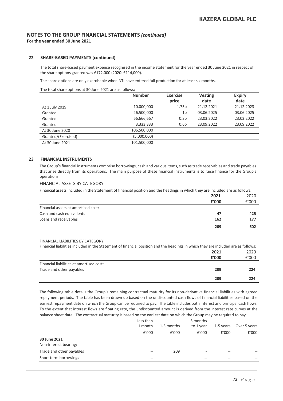### **22 SHARE-BASED PAYMENTS (continued)**

The total share-based payment expense recognised in the income statement for the year ended 30 June 2021 in respect of the share options granted was £172,000 (2020: £114,000).

The share options are only exercisable when NTI have entered full production for at least six months.

The total share options at 30 June 2021 are as follows:

|                     | <b>Number</b> | <b>Exercise</b> | <b>Vesting</b> | <b>Expiry</b> |
|---------------------|---------------|-----------------|----------------|---------------|
|                     |               | price           | date           | date          |
| At 1 July 2019      | 10,000,000    | 1.75p           | 21.12.2021     | 21.12.2023    |
| Granted             | 26,500,000    | 1p              | 03.06.2025     | 03.06.2025    |
| Granted             | 66,666,667    | 0.3p            | 23.03.2022     | 23.03.2022    |
| Granted             | 3,333,333     | 0.6p            | 23.09.2022     | 23.09.2022    |
| At 30 June 2020     | 106,500,000   |                 |                |               |
| Granted/(Exercised) | (5,000,000)   |                 |                |               |
| At 30 June 2021     | 101,500,000   |                 |                |               |

### **23 FINANCIAL INSTRUMENTS**

The Group's financial instruments comprise borrowings, cash and various items, such as trade receivables and trade payables that arise directly from its operations. The main purpose of these financial instruments is to raise finance for the Group's operations.

### FINANCIAL ASSETS BY CATEGORY

Financial assets included in the Statement of financial position and the headings in which they are included are as follows:

|                                     | 2021  | 2020  |
|-------------------------------------|-------|-------|
|                                     | £'000 | £'000 |
| Financial assets at amortised cost: |       |       |
| Cash and cash equivalents           | 47    | 425   |
| Loans and receivables               | 162   | 177   |
|                                     | 209   | 602   |

#### FINANCIAL LIABILITIES BY CATEGORY

Financial liabilities included in the Statement of financial position and the headings in which they are included are as follows:

|                                          | 2021  | 2020  |
|------------------------------------------|-------|-------|
|                                          | £'000 | £'000 |
| Financial liabilities at amortised cost: |       |       |
| Trade and other payables                 | 209   | 224   |
|                                          | 209   | 224   |

The following table details the Group's remaining contractual maturity for its non-derivative financial liabilities with agreed repayment periods. The table has been drawn up based on the undiscounted cash flows of financial liabilities based on the earliest repayment date on which the Group can be required to pay. The table includes both interest and principal cash flows. To the extent that interest flows are floating rate, the undiscounted amount is derived from the interest rate curves at the balance sheet date. The contractual maturity is based on the earliest date on which the Group may be required to pay.

|                                       | Less than<br>1 month     | 1-3 months               | 3 months<br>to 1 year | 1-5 years | Over 5 years |
|---------------------------------------|--------------------------|--------------------------|-----------------------|-----------|--------------|
|                                       | f'000                    | f'000                    | £'000                 | £'000     | £'000        |
| 30 June 2021<br>Non-interest bearing: |                          |                          |                       |           |              |
| Trade and other payables              | $\overline{\phantom{0}}$ | 209                      | ۰                     | –         |              |
| Short term borrowings                 |                          | $\overline{\phantom{a}}$ | –                     | –         |              |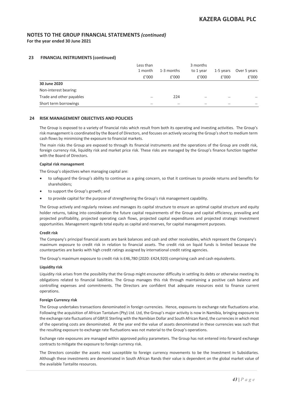**For the year ended 30 June 2021**

### **23 FINANCIAL INSTRUMENTS (continued)**

|                          | Less than<br>1 month | 1-3 months | 3 months<br>to 1 year | 1-5 years | Over 5 years |
|--------------------------|----------------------|------------|-----------------------|-----------|--------------|
|                          | f'000                | f'000      | £'000                 | £'000     | £'000        |
| 30 June 2020             |                      |            |                       |           |              |
| Non-interest bearing:    |                      |            |                       |           |              |
| Trade and other payables | –                    | 224        | –                     | –         |              |
| Short term borrowings    | –                    |            |                       |           |              |

### **24 RISK MANAGEMENT OBJECTIVES AND POLICIES**

The Group is exposed to a variety of financial risks which result from both its operating and investing activities. The Group's risk management is coordinated by the Board of Directors, and focuses on actively securing the Group's short to medium term cash flows by minimising the exposure to financial markets.

The main risks the Group are exposed to through its financial instruments and the operations of the Group are credit risk, foreign currency risk, liquidity risk and market price risk. These risks are managed by the Group's finance function together with the Board of Directors.

### **Capital risk management**

The Group's objectives when managing capital are:

- to safeguard the Group's ability to continue as a going concern, so that it continues to provide returns and benefits for shareholders;
- to support the Group's growth; and
- to provide capital for the purpose of strengthening the Group's risk management capability.

The Group actively and regularly reviews and manages its capital structure to ensure an optimal capital structure and equity holder returns, taking into consideration the future capital requirements of the Group and capital efficiency, prevailing and projected profitability, projected operating cash flows, projected capital expenditures and projected strategic investment opportunities. Management regards total equity as capital and reserves, for capital management purposes.

#### **Credit risk**

The Company's principal financial assets are bank balances and cash and other receivables, which represent the Company's maximum exposure to credit risk in relation to financial assets. The credit risk on liquid funds is limited because the counterparties are banks with high credit ratings assigned by international credit rating agencies.

The Group's maximum exposure to credit risk is £46,780 (2020: £424,920) comprising cash and cash equivalents.

#### **Liquidity risk**

Liquidity risk arises from the possibility that the Group might encounter difficulty in settling its debts or otherwise meeting its obligations related to financial liabilities. The Group manages this risk through maintaining a positive cash balance and controlling expenses and commitments. The Directors are confident that adequate resources exist to finance current operations.

#### **Foreign Currency risk**

The Group undertakes transactions denominated in foreign currencies. Hence, exposures to exchange rate fluctuations arise. Following the acquisition of African Tantalum (Pty) Ltd. Ltd, the Group's major activity is now in Namibia, bringing exposure to the exchange rate fluctuations of GBP/£ Sterling with the Namibian Dollar and South African Rand, the currencies in which most of the operating costs are denominated. At the year end the value of assets denominated in these currencies was such that the resulting exposure to exchange rate fluctuations was not material to the Group's operations.

Exchange rate exposures are managed within approved policy parameters. The Group has not entered into forward exchange contracts to mitigate the exposure to foreign currency risk.

The Directors consider the assets most susceptible to foreign currency movements to be the Investment in Subsidiaries. Although these investments are denominated in South African Rands their value is dependent on the global market value of the available Tantalite resources.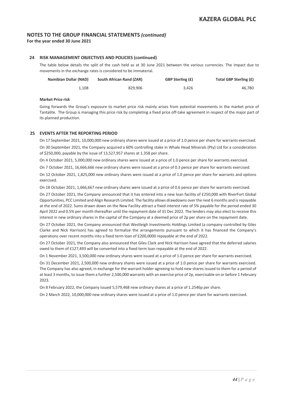**For the year ended 30 June 2021**

### **24 RISK MANAGEMENT OBJECTIVES AND POLICIES (continued)**

The table below details the split of the cash held as at 30 June 2021 between the various currencies. The impact due to movements in the exchange rates is considered to be immaterial.

| Total GBP Sterling (£) | <b>GBP Sterling (£)</b> | <b>South African Rand (ZAR)</b> | Namibian Dollar (NAD) |
|------------------------|-------------------------|---------------------------------|-----------------------|
| 46.780                 | 3.426                   | 829.906                         | 1.108                 |

#### **Market Price risk**

Going forwards the Group's exposure to market price risk mainly arises from potential movements in the market price of Tantalite. The Group is managing this price risk by completing a fixed price off-take agreement in respect of the major part of its planned production.

### **25 EVENTS AFTER THE REPORTING PERIOD**

On 17 September 2021, 10,000,000 new ordinary shares were issued at a price of 1.0 pence per share for warrants exercised. On 30 September 2021, the Company acquired a 60% controlling stake in Whale Head Minerals (Pty) Ltd for a consideration of \$250,000, payable by the issue of 13,527,957 shares at 1.358 per share.

On 4 October 2021, 5,000,000 new ordinary shares were issued at a price of 1.0 pence per share for warrants exercised.

On 7 October 2021, 16,666,666 new ordinary shares were issued at a price of 0.3 pence per share for warrants exercised.

On 12 October 2021, 1,825,000 new ordinary shares were issued at a price of 1.0 pence per share for warrants and options exercised.

On 18 October 2021, 1,666,667 new ordinary shares were issued at a price of 0.6 pence per share for warrants exercised.

On 27 October 2021, the Company announced that it has entered into a new loan facility of £250,000 with RiverFort Global Opportunities, PCC Limited and Align Research Limited. The facility allows drawdowns over the next 6 months and is repayable at the end of 2022. Sums drawn down on the New Facility attract a fixed interest rate of 5% payable for the period ended 30 April 2022 and 0.5% per month thereafter until the repayment date of 31 Dec 2022. The lenders may also elect to receive this interest in new ordinary shares in the capital of the Company at a deemed price of 2p per share on the repayment date.

On 27 October 2021, the Company announced that Westleigh Investments Holdings Limited (a company controlled by Giles Clarke and Nick Harrison) has agreed to formalize the arrangements pursuant to which it has financed the Company's operations over recent months into a fixed term loan of £200,0000 repayable at the end of 2022.

On 27 October 2021, the Company also announced that Giles Clark and Nick Harrison have agreed that the deferred salaries owed to them of £127,493 will be converted into a fixed term loan repayable at the end of 2022.

On 1 November 2021, 3,500,000 new ordinary shares were issued at a price of 1.0 pence per share for warrants exercised.

On 31 December 2021, 2,500,000 new ordinary shares were issued at a price of 1.0 pence per share for warrants exercised. The Company has also agreed, in exchange for the warrant holder agreeing to hold new shares issued to them for a period of at least 3 months, to issue them a further 2,500,000 warrants with an exercise price of 2p, exercisable on or before 1 February 2023.

On 8 February 2022, the Company issued 5,579,468 new ordinary shares at a price of 1.2546p per share.

On 2 March 2022, 10,000,000 new ordinary shares were issued at a price of 1.0 pence per share for warrants exercised.